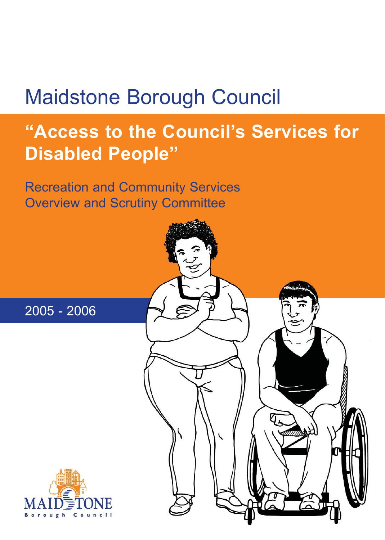# Maidstone Borough Council

# **"Access to the Council's Services for Disabled People"**

Recreation and Community Services Overview and Scrutiny Committee





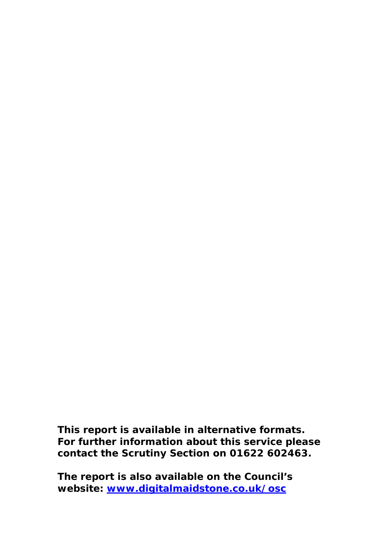**This report is available in alternative formats. For further information about this service please contact the Scrutiny Section on 01622 602463.** 

**The report is also available on the Council's website: [www.digitalmaidstone.co.uk/osc](http://www.digitalmaidstone.co.uk/osc)**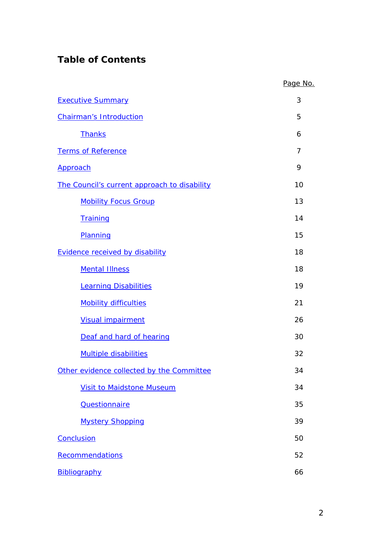# **Table of Contents**

|                                              | Page No. |
|----------------------------------------------|----------|
| <b>Executive Summary</b>                     | 3        |
| <b>Chairman's Introduction</b>               | 5        |
| <b>Thanks</b>                                | 6        |
| <b>Terms of Reference</b>                    | 7        |
| Approach                                     | 9        |
| The Council's current approach to disability | 10       |
| <b>Mobility Focus Group</b>                  | 13       |
| Training                                     | 14       |
| Planning                                     | 15       |
| <b>Evidence received by disability</b>       | 18       |
| <b>Mental Illness</b>                        | 18       |
| <b>Learning Disabilities</b>                 | 19       |
| <b>Mobility difficulties</b>                 | 21       |
| <b>Visual impairment</b>                     | 26       |
| Deaf and hard of hearing                     | 30       |
| <b>Multiple disabilities</b>                 | 32       |
| Other evidence collected by the Committee    | 34       |
| <b>Visit to Maidstone Museum</b>             | 34       |
| <b>Questionnaire</b>                         | 35       |
| <b>Mystery Shopping</b>                      | 39       |
| Conclusion                                   | 50       |
| Recommendations                              | 52       |
| Bibliography                                 | 66       |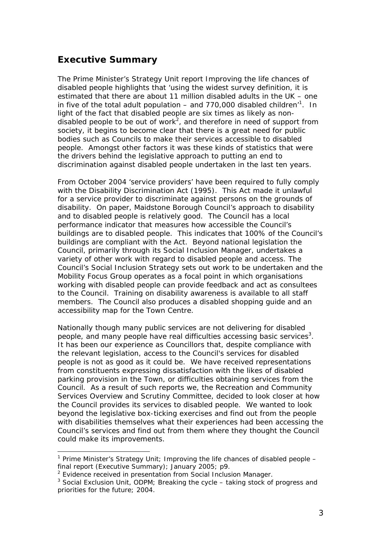## <span id="page-3-0"></span>**Executive Summary**

The Prime Minister's Strategy Unit report *Improving the life chances of disabled people* highlights that 'using the widest survey definition, it is estimated that there are about 11 million disabled adults in the UK – one in five of the total adult population – and 770,000 disabled children'<sup>[1](#page-3-1)</sup>. In light of the fact that disabled people are six times as likely as non-disabled people to be out of work<sup>[2](#page-3-2)</sup>, and therefore in need of support from society, it begins to become clear that there is a great need for public bodies such as Councils to make their services accessible to disabled people. Amongst other factors it was these kinds of statistics that were the drivers behind the legislative approach to putting an end to discrimination against disabled people undertaken in the last ten years.

From October 2004 'service providers' have been required to fully comply with the Disability Discrimination Act (1995). This Act made it unlawful for a service provider to discriminate against persons on the grounds of disability. On paper, Maidstone Borough Council's approach to disability and to disabled people is relatively good. The Council has a local performance indicator that measures how accessible the Council's buildings are to disabled people. This indicates that 100% of the Council's buildings are compliant with the Act. Beyond national legislation the Council, primarily through its Social Inclusion Manager, undertakes a variety of other work with regard to disabled people and access. The Council's Social Inclusion Strategy sets out work to be undertaken and the Mobility Focus Group operates as a focal point in which organisations working with disabled people can provide feedback and act as consultees to the Council. Training on disability awareness is available to all staff members. The Council also produces a disabled shopping guide and an accessibility map for the Town Centre.

Nationally though many public services are not delivering for disabled people, and many people have real difficulties accessing basic services<sup>[3](#page-3-3)</sup>. It has been our experience as Councillors that, despite compliance with the relevant legislation, access to the Council's services for disabled people is not as good as it could be. We have received representations from constituents expressing dissatisfaction with the likes of disabled parking provision in the Town, or difficulties obtaining services from the Council. As a result of such reports we, the Recreation and Community Services Overview and Scrutiny Committee, decided to look closer at how the Council provides its services to disabled people. We wanted to look beyond the legislative box-ticking exercises and find out from the people with disabilities themselves what their experiences had been accessing the Council's services and find out from them where they thought the Council could make its improvements.

<span id="page-3-1"></span> <sup>1</sup> Prime Minister's Strategy Unit; *Improving the life chances of disabled people – final report (Executive Summary)*; January 2005; p9.

<span id="page-3-2"></span><sup>&</sup>lt;sup>2</sup> Evidence received in presentation from Social Inclusion Manager.

<span id="page-3-3"></span><sup>3</sup> Social Exclusion Unit, ODPM; *Breaking the cycle – taking stock of progress and priorities for the future*; 2004.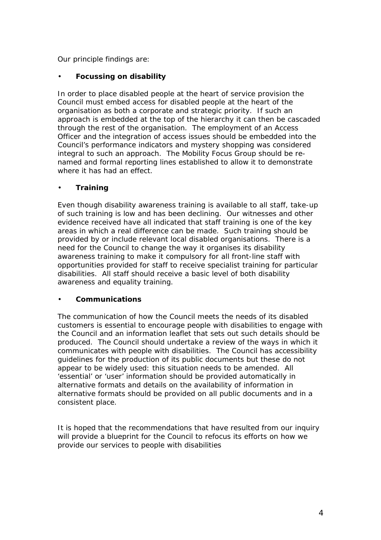Our principle findings are:

## • **Focussing on disability**

In order to place disabled people at the heart of service provision the Council must embed access for disabled people at the heart of the organisation as both a corporate and strategic priority. If such an approach is embedded at the top of the hierarchy it can then be cascaded through the rest of the organisation. The employment of an Access Officer and the integration of access issues should be embedded into the Council's performance indicators and mystery shopping was considered integral to such an approach. The Mobility Focus Group should be renamed and formal reporting lines established to allow it to demonstrate where it has had an effect.

## • **Training**

Even though disability awareness training is available to all staff, take-up of such training is low and has been declining. Our witnesses and other evidence received have all indicated that staff training is one of the key areas in which a real difference can be made. Such training should be provided by or include relevant local disabled organisations. There is a need for the Council to change the way it organises its disability awareness training to make it compulsory for all front-line staff with opportunities provided for staff to receive specialist training for particular disabilities. All staff should receive a basic level of both disability awareness and equality training.

### • **Communications**

The communication of how the Council meets the needs of its disabled customers is essential to encourage people with disabilities to engage with the Council and an information leaflet that sets out such details should be produced. The Council should undertake a review of the ways in which it communicates with people with disabilities. The Council has accessibility guidelines for the production of its public documents but these do not appear to be widely used: this situation needs to be amended. All 'essential' or 'user' information should be provided automatically in alternative formats and details on the availability of information in alternative formats should be provided on all public documents and in a consistent place.

It is hoped that the recommendations that have resulted from our inquiry will provide a blueprint for the Council to refocus its efforts on how we provide our services to people with disabilities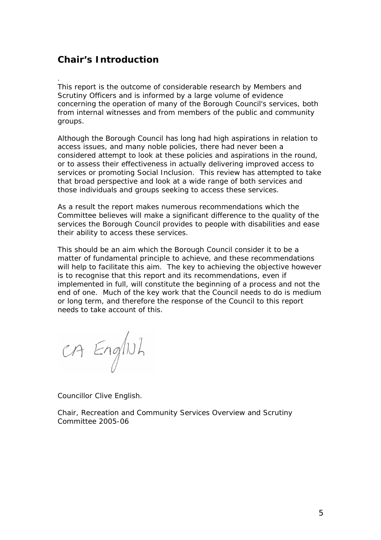## <span id="page-5-0"></span>**Chair's Introduction**

.

This report is the outcome of considerable research by Members and Scrutiny Officers and is informed by a large volume of evidence concerning the operation of many of the Borough Council's services, both from internal witnesses and from members of the public and community groups.

Although the Borough Council has long had high aspirations in relation to access issues, and many noble policies, there had never been a considered attempt to look at these policies and aspirations in the round, or to assess their effectiveness in actually delivering improved access to services or promoting Social Inclusion. This review has attempted to take that broad perspective and look at a wide range of both services and those individuals and groups seeking to access these services.

As a result the report makes numerous recommendations which the Committee believes will make a significant difference to the quality of the services the Borough Council provides to people with disabilities and ease their ability to access these services.

This should be an aim which the Borough Council consider it to be a matter of fundamental principle to achieve, and these recommendations will help to facilitate this aim. The key to achieving the objective however is to recognise that this report and its recommendations, even if implemented in full, will constitute the beginning of a process and not the end of one. Much of the key work that the Council needs to do is medium or long term, and therefore the response of the Council to this report needs to take account of this.

CA English

Councillor Clive English.

Chair, Recreation and Community Services Overview and Scrutiny Committee 2005-06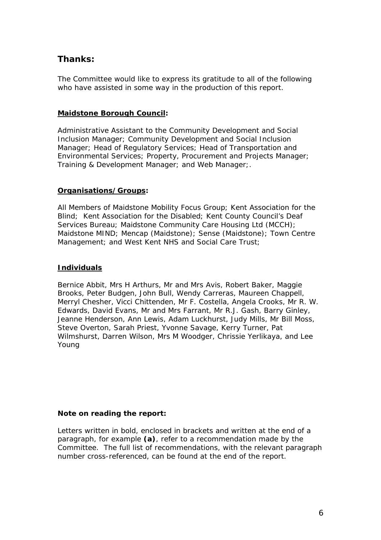## <span id="page-6-0"></span>**Thanks:**

The Committee would like to express its gratitude to all of the following who have assisted in some way in the production of this report.

### **Maidstone Borough Council:**

Administrative Assistant to the Community Development and Social Inclusion Manager; Community Development and Social Inclusion Manager; Head of Regulatory Services; Head of Transportation and Environmental Services; Property, Procurement and Projects Manager; Training & Development Manager; and Web Manager;.

## **Organisations/Groups:**

All Members of Maidstone Mobility Focus Group; Kent Association for the Blind; Kent Association for the Disabled; Kent County Council's Deaf Services Bureau; Maidstone Community Care Housing Ltd (MCCH); Maidstone MIND; Mencap (Maidstone); Sense (Maidstone); Town Centre Management; and West Kent NHS and Social Care Trust;

## **Individuals**

Bernice Abbit, Mrs H Arthurs, Mr and Mrs Avis, Robert Baker, Maggie Brooks, Peter Budgen, John Bull, Wendy Carreras, Maureen Chappell, Merryl Chesher, Vicci Chittenden, Mr F. Costella, Angela Crooks, Mr R. W. Edwards, David Evans, Mr and Mrs Farrant, Mr R.J. Gash, Barry Ginley, Jeanne Henderson, Ann Lewis, Adam Luckhurst, Judy Mills, Mr Bill Moss, Steve Overton, Sarah Priest, Yvonne Savage, Kerry Turner, Pat Wilmshurst, Darren Wilson, Mrs M Woodger, Chrissie Yerlikaya, and Lee Young

## **Note on reading the report:**

Letters written in bold, enclosed in brackets and written at the end of a paragraph, for example **(a)**, refer to a recommendation made by the Committee. The full list of recommendations, with the relevant paragraph number cross-referenced, can be found at the end of the report.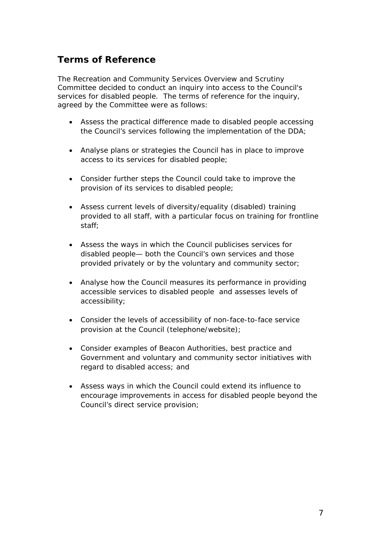## <span id="page-7-0"></span>**Terms of Reference**

The Recreation and Community Services Overview and Scrutiny Committee decided to conduct an inquiry into access to the Council's services for disabled people. The terms of reference for the inquiry, agreed by the Committee were as follows:

- Assess the practical difference made to disabled people accessing the Council's services following the implementation of the DDA;
- Analyse plans or strategies the Council has in place to improve access to its services for disabled people;
- Consider further steps the Council could take to improve the provision of its services to disabled people;
- Assess current levels of diversity/equality (disabled) training provided to all staff, with a particular focus on training for frontline staff;
- Assess the ways in which the Council publicises services for disabled people— both the Council's own services and those provided privately or by the voluntary and community sector;
- Analyse how the Council measures its performance in providing accessible services to disabled people and assesses levels of accessibility;
- Consider the levels of accessibility of non-face-to-face service provision at the Council (telephone/website);
- Consider examples of Beacon Authorities, best practice and Government and voluntary and community sector initiatives with regard to disabled access; and
- Assess ways in which the Council could extend its influence to encourage improvements in access for disabled people beyond the Council's direct service provision;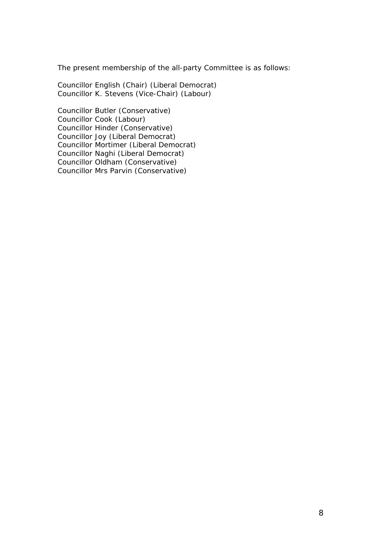The present membership of the all-party Committee is as follows:

Councillor English (Chair) (Liberal Democrat) Councillor K. Stevens (Vice-Chair) (Labour)

Councillor Butler (Conservative) Councillor Cook (Labour) Councillor Hinder (Conservative) Councillor Joy (Liberal Democrat) Councillor Mortimer (Liberal Democrat) Councillor Naghi (Liberal Democrat) Councillor Oldham (Conservative) Councillor Mrs Parvin (Conservative)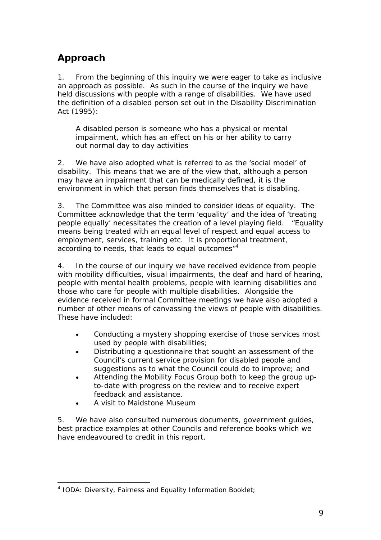# <span id="page-9-0"></span>**Approach**

1. From the beginning of this inquiry we were eager to take as inclusive an approach as possible. As such in the course of the inquiry we have held discussions with people with a range of disabilities. We have used the definition of a disabled person set out in the Disability Discrimination Act (1995):

*A disabled person is someone who has a physical or mental impairment, which has an effect on his or her ability to carry out normal day to day activities*

2. We have also adopted what is referred to as the 'social model' of disability. This means that we are of the view that, although a person may have an impairment that can be medically defined, it is the environment in which that person finds themselves that is disabling.

3. The Committee was also minded to consider ideas of equality. The Committee acknowledge that the term 'equality' and the idea of 'treating people equally' necessitates the creation of a level playing field. "Equality means being treated with an equal level of respect and equal access to employment, services, training etc. It is proportional treatment, according to needs, that leads to equal outcomes"<sup>[4](#page-9-1)</sup>

4. In the course of our inquiry we have received evidence from people with mobility difficulties, visual impairments, the deaf and hard of hearing, people with mental health problems, people with learning disabilities and those who care for people with multiple disabilities. Alongside the evidence received in formal Committee meetings we have also adopted a number of other means of canvassing the views of people with disabilities. These have included:

- Conducting a mystery shopping exercise of those services most used by people with disabilities;
- Distributing a questionnaire that sought an assessment of the Council's current service provision for disabled people and suggestions as to what the Council could do to improve; and
- Attending the Mobility Focus Group both to keep the group upto-date with progress on the review and to receive expert feedback and assistance.
- A visit to Maidstone Museum

5. We have also consulted numerous documents, government guides, best practice examples at other Councils and reference books which we have endeavoured to credit in this report.

<span id="page-9-1"></span> <sup>4</sup> IODA: *Diversity, Fairness and Equality Information Booklet*;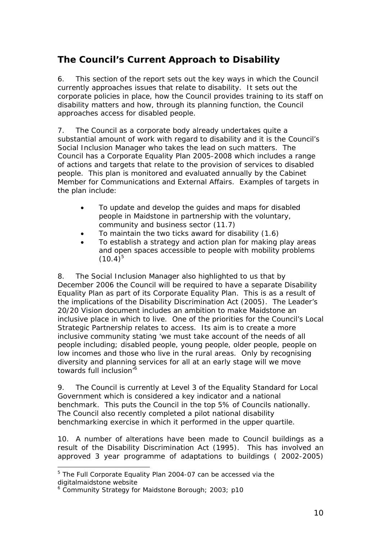# <span id="page-10-0"></span>**The Council's Current Approach to Disability**

6. This section of the report sets out the key ways in which the Council currently approaches issues that relate to disability. It sets out the corporate policies in place, how the Council provides training to its staff on disability matters and how, through its planning function, the Council approaches access for disabled people.

7. The Council as a corporate body already undertakes quite a substantial amount of work with regard to disability and it is the Council's Social Inclusion Manager who takes the lead on such matters. The Council has a Corporate Equality Plan 2005-2008 which includes a range of actions and targets that relate to the provision of services to disabled people. This plan is monitored and evaluated annually by the Cabinet Member for Communications and External Affairs. Examples of targets in the plan include:

- To update and develop the guides and maps for disabled people in Maidstone in partnership with the voluntary, community and business sector (11.7)
- To maintain the two ticks award for disability (1.6)
- To establish a strategy and action plan for making play areas and open spaces accessible to people with mobility problems  $(10.4)^{5}$  $(10.4)^{5}$  $(10.4)^{5}$

8. The Social Inclusion Manager also highlighted to us that by December 2006 the Council will be required to have a separate Disability Equality Plan as part of its Corporate Equality Plan. This is as a result of the implications of the Disability Discrimination Act (2005). The Leader's 20/20 Vision document includes an ambition to make Maidstone an inclusive place in which to live. One of the priorities for the Council's Local Strategic Partnership relates to access. Its aim is to create a more inclusive community stating 'we must take account of the needs of all people including; disabled people, young people, older people, people on low incomes and those who live in the rural areas. Only by recognising diversity and planning services for all at an early stage will we move towards full inclusion'<sup>[6](#page-10-2)</sup>

9. The Council is currently at Level 3 of the Equality Standard for Local Government which is considered a key indicator and a national benchmark. This puts the Council in the top 5% of Councils nationally. The Council also recently completed a pilot national disability benchmarking exercise in which it performed in the upper quartile.

10. A number of alterations have been made to Council buildings as a result of the Disability Discrimination Act (1995). This has involved an approved 3 year programme of adaptations to buildings ( 2002-2005)

<span id="page-10-1"></span> <sup>5</sup> The Full Corporate Equality Plan 2004-07 can be accessed via the digitalmaidstone website

<span id="page-10-2"></span><sup>&</sup>lt;sup>6</sup> Community Strategy for Maidstone Borough; 2003; p10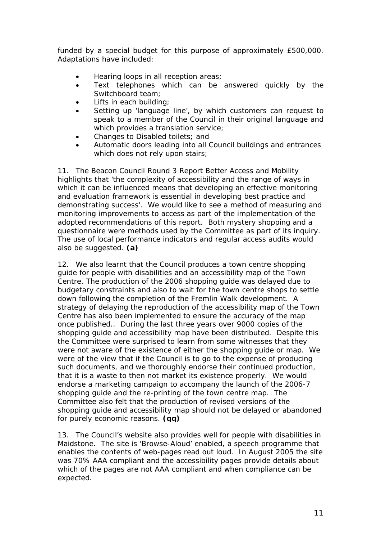funded by a special budget for this purpose of approximately £500,000. Adaptations have included:

- Hearing loops in all reception areas;
- Text telephones which can be answered quickly by the Switchboard team;
- Lifts in each building;
- Setting up 'language line', by which customers can request to speak to a member of the Council in their original language and which provides a translation service;
- Changes to Disabled toilets; and
- Automatic doors leading into all Council buildings and entrances which does not rely upon stairs;

11. The Beacon Council Round 3 Report *Better Access and Mobility* highlights that 'the complexity of accessibility and the range of ways in which it can be influenced means that developing an effective monitoring and evaluation framework is essential in developing best practice and demonstrating success'. We would like to see a method of measuring and monitoring improvements to access as part of the implementation of the adopted recommendations of this report. Both mystery shopping and a questionnaire were methods used by the Committee as part of its inquiry. The use of local performance indicators and regular access audits would also be suggested. **(a)**

12. We also learnt that the Council produces a town centre shopping guide for people with disabilities and an accessibility map of the Town Centre. The production of the 2006 shopping guide was delayed due to budgetary constraints and also to wait for the town centre shops to settle down following the completion of the Fremlin Walk development. A strategy of delaying the reproduction of the accessibility map of the Town Centre has also been implemented to ensure the accuracy of the map once published.. During the last three years over 9000 copies of the shopping guide and accessibility map have been distributed. Despite this the Committee were surprised to learn from some witnesses that they were not aware of the existence of either the shopping guide or map. We were of the view that if the Council is to go to the expense of producing such documents, and we thoroughly endorse their continued production, that it is a waste to then not market its existence properly. We would endorse a marketing campaign to accompany the launch of the 2006-7 shopping guide and the re-printing of the town centre map. The Committee also felt that the production of revised versions of the shopping guide and accessibility map should not be delayed or abandoned for purely economic reasons. **(qq)**

13. The Council's website also provides well for people with disabilities in Maidstone. The site is 'Browse-Aloud' enabled, a speech programme that enables the contents of web-pages read out loud. In August 2005 the site was 70% AAA compliant and the accessibility pages provide details about which of the pages are not AAA compliant and when compliance can be expected.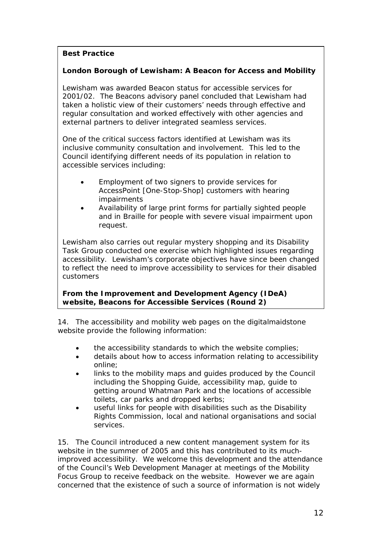## **Best Practice**

## **London Borough of Lewisham: A Beacon for Access and Mobility**

Lewisham was awarded Beacon status for accessible services for 2001/02. The Beacons advisory panel concluded that Lewisham had taken a holistic view of their customers' needs through effective and regular consultation and worked effectively with other agencies and external partners to deliver integrated seamless services.

One of the critical success factors identified at Lewisham was its inclusive community consultation and involvement. This led to the Council identifying different needs of its population in relation to accessible services including:

- Employment of two signers to provide services for AccessPoint [One-Stop-Shop] customers with hearing impairments
- Availability of large print forms for partially sighted people and in Braille for people with severe visual impairment upon request.

Lewisham also carries out regular mystery shopping and its Disability Task Group conducted one exercise which highlighted issues regarding accessibility. Lewisham's corporate objectives have since been changed to reflect the need to improve accessibility to services for their disabled customers

**From the Improvement and Development Agency (IDeA) website, Beacons for Accessible Services (Round 2)** 

14. The accessibility and mobility web pages on the digitalmaidstone website provide the following information:

- the accessibility standards to which the website complies;
- details about how to access information relating to accessibility online;
- links to the mobility maps and guides produced by the Council including the Shopping Guide, accessibility map, guide to getting around Whatman Park and the locations of accessible toilets, car parks and dropped kerbs;
- useful links for people with disabilities such as the Disability Rights Commission, local and national organisations and social services.

15. The Council introduced a new content management system for its website in the summer of 2005 and this has contributed to its muchimproved accessibility. We welcome this development and the attendance of the Council's Web Development Manager at meetings of the Mobility Focus Group to receive feedback on the website. However we are again concerned that the existence of such a source of information is not widely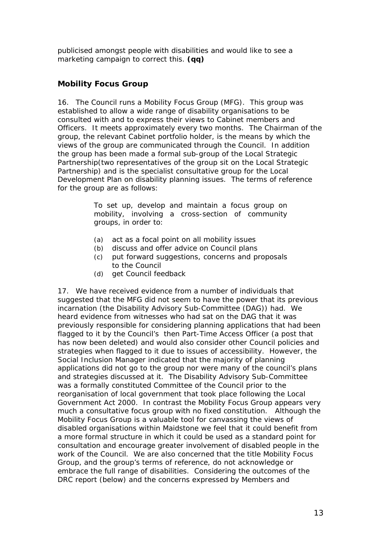<span id="page-13-0"></span>publicised amongst people with disabilities and would like to see a marketing campaign to correct this. **(qq)**

## **Mobility Focus Group**

16. The Council runs a Mobility Focus Group (MFG). This group was established to allow a wide range of disability organisations to be consulted with and to express their views to Cabinet members and Officers. It meets approximately every two months. The Chairman of the group, the relevant Cabinet portfolio holder, is the means by which the views of the group are communicated through the Council. In addition the group has been made a formal sub-group of the Local Strategic Partnership(two representatives of the group sit on the Local Strategic Partnership) and is the specialist consultative group for the Local Development Plan on disability planning issues. The terms of reference for the group are as follows:

> *To set up, develop and maintain a focus group on mobility, involving a cross-section of community groups, in order to:*

- *(a) act as a focal point on all mobility issues*
- *(b) discuss and offer advice on Council plans*
- *(c) put forward suggestions, concerns and proposals to the Council*
- *(d) get Council feedback*

17. We have received evidence from a number of individuals that suggested that the MFG did not seem to have the power that its previous incarnation (the Disability Advisory Sub-Committee (DAG)) had. We heard evidence from witnesses who had sat on the DAG that it was previously responsible for considering planning applications that had been flagged to it by the Council's then Part-Time Access Officer (a post that has now been deleted) and would also consider other Council policies and strategies when flagged to it due to issues of accessibility. However, the Social Inclusion Manager indicated that the majority of planning applications did not go to the group nor were many of the council's plans and strategies discussed at it. The Disability Advisory Sub-Committee was a formally constituted Committee of the Council prior to the reorganisation of local government that took place following the Local Government Act 2000. In contrast the Mobility Focus Group appears very much a consultative focus group with no fixed constitution. Although the Mobility Focus Group is a valuable tool for canvassing the views of disabled organisations within Maidstone we feel that it could benefit from a more formal structure in which it could be used as a standard point for consultation and encourage greater involvement of disabled people in the work of the Council. We are also concerned that the title *Mobility* Focus Group, and the group's terms of reference, do not acknowledge or embrace the full range of disabilities. Considering the outcomes of the DRC report (below) and the concerns expressed by Members and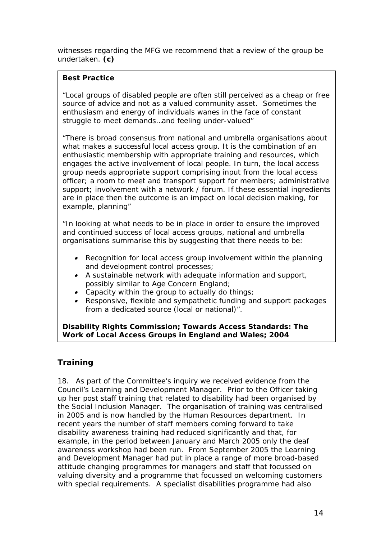<span id="page-14-0"></span>witnesses regarding the MFG we recommend that a review of the group be undertaken. **(c)**

## **Best Practice**

*"Local groups of disabled people are often still perceived as a cheap or free source of advice and not as a valued community asset. Sometimes the enthusiasm and energy of individuals wanes in the face of constant struggle to meet demands…and feeling under-valued"*

*"There is broad consensus from national and umbrella organisations about what makes a successful local access group. It is the combination of an enthusiastic membership with appropriate training and resources, which engages the active involvement of local people. In turn, the local access group needs appropriate support comprising input from the local access officer; a room to meet and transport support for members; administrative support; involvement with a network / forum. If these essential ingredients are in place then the outcome is an impact on local decision making, for example, planning"* 

*"In looking at what needs to be in place in order to ensure the improved and continued success of local access groups, national and umbrella organisations summarise this by suggesting that there needs to be:* 

- *Recognition for local access group involvement within the planning and development control processes;*
- *A sustainable network with adequate information and support, possibly similar to Age Concern England;*
- *Capacity within the group to actually do things;*
- *Responsive, flexible and sympathetic funding and support packages from a dedicated source (local or national)".*

**Disability Rights Commission;** *Towards Access Standards: The Work of Local Access Groups in England and Wales***; 2004** 

## **Training**

18. As part of the Committee's inquiry we received evidence from the Council's Learning and Development Manager. Prior to the Officer taking up her post staff training that related to disability had been organised by the Social Inclusion Manager. The organisation of training was centralised in 2005 and is now handled by the Human Resources department. In recent years the number of staff members coming forward to take disability awareness training had reduced significantly and that, for example, in the period between January and March 2005 only the deaf awareness workshop had been run. From September 2005 the Learning and Development Manager had put in place a range of more broad-based attitude changing programmes for managers and staff that focussed on valuing diversity and a programme that focussed on welcoming customers with special requirements. A specialist disabilities programme had also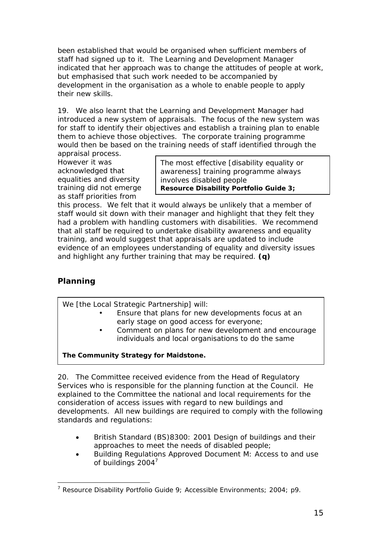<span id="page-15-0"></span>been established that would be organised when sufficient members of staff had signed up to it. The Learning and Development Manager indicated that her approach was to change the attitudes of people at work, but emphasised that such work needed to be accompanied by development in the organisation as a whole to enable people to apply their new skills.

19. We also learnt that the Learning and Development Manager had introduced a new system of appraisals. The focus of the new system was for staff to identify their objectives and establish a training plan to enable them to achieve those objectives. The corporate training programme would then be based on the training needs of staff identified through the

appraisal process. However it was acknowledged that equalities and diversity training did not emerge as staff priorities from

The most effective [disability equality or awareness] training programme always involves disabled people **Resource Disability Portfolio Guide 3;**

this process. We felt that it would always be unlikely that a member of staff would sit down with their manager and highlight that they felt they had a problem with handling customers with disabilities. We recommend that all staff be required to undertake disability awareness and equality training, and would suggest that appraisals are updated to include evidence of an employees understanding of equality and diversity issues and highlight any further training that may be required. **(q)**

## **Planning**

We [the Local Strategic Partnership] will:

- Ensure that plans for new developments focus at an early stage on good access for everyone;
- Comment on plans for new development and encourage individuals and local organisations to do the same

**The Community Strategy for Maidstone.**

20. The Committee received evidence from the Head of Regulatory Services who is responsible for the planning function at the Council. He explained to the Committee the national and local requirements for the consideration of access issues with regard to new buildings and developments. All new buildings are required to comply with the following standards and regulations:

- British Standard (BS)8300: 2001 Design of buildings and their approaches to meet the needs of disabled people;
- Building Regulations Approved Document M: Access to and use of buildings 2004<sup>[7](#page-15-1)</sup>

<span id="page-15-1"></span> <sup>7</sup> Resource Disability Portfolio Guide 9; *Accessible Environments*; 2004; p9.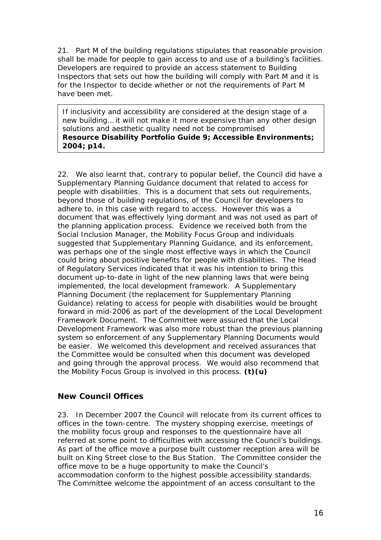21. Part M of the building regulations stipulates that reasonable provision shall be made for people to gain access to and use of a building's facilities. Developers are required to provide an access statement to Building Inspectors that sets out how the building will comply with Part M and it is for the Inspector to decide whether or not the requirements of Part M have been met.

If inclusivity and accessibility are considered at the design stage of a new building… it will not make it more expensive than any other design solutions and aesthetic quality need not be compromised **Resource Disability Portfolio Guide 9;** *Accessible Environments***; 2004; p14.** 

22. We also learnt that, contrary to popular belief, the Council did have a Supplementary Planning Guidance document that related to access for people with disabilities. This is a document that sets out requirements, beyond those of building regulations, of the Council for developers to adhere to, in this case with regard to access. However this was a document that was effectively lying dormant and was not used as part of the planning application process. Evidence we received both from the Social Inclusion Manager, the Mobility Focus Group and individuals suggested that Supplementary Planning Guidance, and its enforcement, was perhaps one of the single most effective ways in which the Council could bring about positive benefits for people with disabilities. The Head of Regulatory Services indicated that it was his intention to bring this document up-to-date in light of the new planning laws that were being implemented, the local development framework. A Supplementary Planning Document (the replacement for Supplementary Planning Guidance) relating to access for people with disabilities would be brought forward in mid-2006 as part of the development of the Local Development Framework Document. The Committee were assured that the Local Development Framework was also more robust than the previous planning system so enforcement of any Supplementary Planning Documents would be easier. We welcomed this development and received assurances that the Committee would be consulted when this document was developed and going through the approval process. We would also recommend that the Mobility Focus Group is involved in this process. **(t)(u)**

## **New Council Offices**

23. In December 2007 the Council will relocate from its current offices to offices in the town-centre. The mystery shopping exercise, meetings of the mobility focus group and responses to the questionnaire have all referred at some point to difficulties with accessing the Council's buildings. As part of the office move a purpose built customer reception area will be built on King Street close to the Bus Station. The Committee consider the office move to be a huge opportunity to make the Council's accommodation conform to the highest possible accessibility standards. The Committee welcome the appointment of an access consultant to the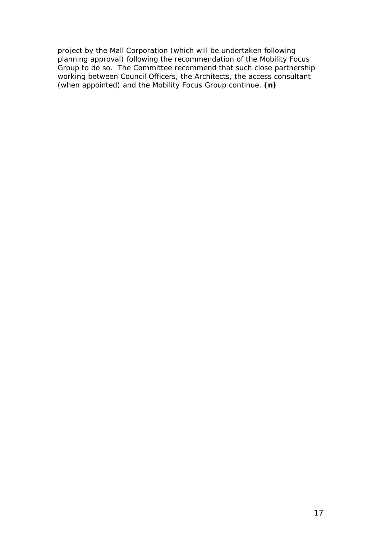project by the Mall Corporation (which will be undertaken following planning approval) following the recommendation of the Mobility Focus Group to do so. The Committee recommend that such close partnership working between Council Officers, the Architects, the access consultant (when appointed) and the Mobility Focus Group continue. **(n)**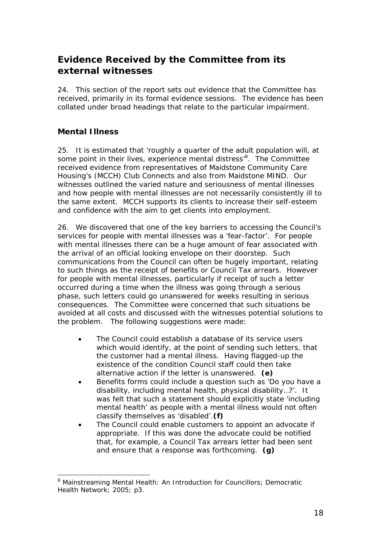# <span id="page-18-0"></span>**Evidence Received by the Committee from its external witnesses**

24. This section of the report sets out evidence that the Committee has received, primarily in its formal evidence sessions. The evidence has been collated under broad headings that relate to the particular impairment.

## **Mental Illness**

25. It is estimated that 'roughly a quarter of the adult population will, at some point in their lives, experience mental distress'<sup>8</sup>[.](#page-18-1) The Committee received evidence from representatives of Maidstone Community Care Housing's (MCCH) Club Connects and also from Maidstone MIND. Our witnesses outlined the varied nature and seriousness of mental illnesses and how people with mental illnesses are not necessarily consistently ill to the same extent. MCCH supports its clients to increase their self-esteem and confidence with the aim to get clients into employment.

26. We discovered that one of the key barriers to accessing the Council's services for people with mental illnesses was a 'fear-factor'. For people with mental illnesses there can be a huge amount of fear associated with the arrival of an official looking envelope on their doorstep. Such communications from the Council can often be hugely important, relating to such things as the receipt of benefits or Council Tax arrears. However for people with mental illnesses, particularly if receipt of such a letter occurred during a time when the illness was going through a serious phase, such letters could go unanswered for weeks resulting in serious consequences. The Committee were concerned that such situations be avoided at all costs and discussed with the witnesses potential solutions to the problem. The following suggestions were made:

- The Council could establish a database of its service users which would identify, at the point of sending such letters, that the customer had a mental illness. Having flagged-up the existence of the condition Council staff could then take alternative action if the letter is unanswered. **(e)**
- Benefits forms could include a question such as 'Do you have a disability, including mental health, physical disability…?'. It was felt that such a statement should explicitly state 'including mental health' as people with a mental illness would not often classify themselves as 'disabled'.**(f)**
- The Council could enable customers to appoint an advocate if appropriate. If this was done the advocate could be notified that, for example, a Council Tax arrears letter had been sent and ensure that a response was forthcoming. **(g)**

<span id="page-18-1"></span> <sup>8</sup> Mainstreaming Mental Health: An Introduction for Councillors; *Democratic Health Network*; 2005; p3.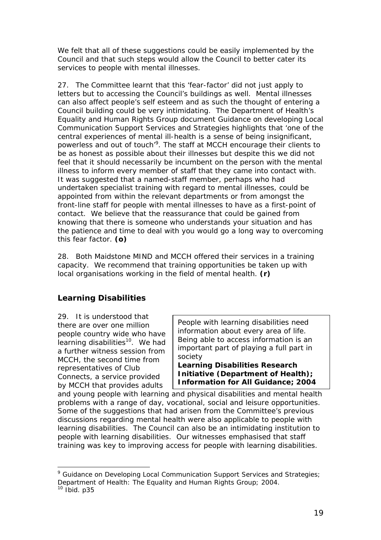<span id="page-19-0"></span>We felt that all of these suggestions could be easily implemented by the Council and that such steps would allow the Council to better cater its services to people with mental illnesses.

27. The Committee learnt that this 'fear-factor' did not just apply to letters but to accessing the Council's buildings as well. Mental illnesses can also affect people's self esteem and as such the thought of entering a Council building could be very intimidating. The Department of Health's Equality and Human Rights Group document *Guidance on developing Local Communication Support Services and Strategies* highlights that 'one of the central experiences of mental ill-health is a sense of being insignificant, powerless and out of touch<sup>'[9](#page-19-1)</sup>. The staff at MCCH encourage their clients to be as honest as possible about their illnesses but despite this we did not feel that it should necessarily be incumbent on the person with the mental illness to inform every member of staff that they came into contact with. It was suggested that a named-staff member, perhaps who had undertaken specialist training with regard to mental illnesses, could be appointed from within the relevant departments or from amongst the front-line staff for people with mental illnesses to have as a first-point of contact. We believe that the reassurance that could be gained from knowing that there is someone who understands your situation and has the patience and time to deal with you would go a long way to overcoming this fear factor. **(o)**

28. Both Maidstone MIND and MCCH offered their services in a training capacity. We recommend that training opportunities be taken up with local organisations working in the field of mental health. **(r)**

## **Learning Disabilities**

29. It is understood that there are over one million people country wide who have learning disabilities<sup>10</sup>. We had a further witness session from MCCH, the second time from representatives of Club Connects, a service provided by MCCH that provides adults

*People with learning disabilities need information about every area of life. Being able to access information is an important part of playing a full part in society* 

**Learning Disabilities Research Initiative (Department of Health);**  *Information for All Guidance***; 2004** 

and young people with learning and physical disabilities and mental health problems with a range of day, vocational, social and leisure opportunities. Some of the suggestions that had arisen from the Committee's previous discussions regarding mental health were also applicable to people with learning disabilities. The Council can also be an intimidating institution to people with learning disabilities. Our witnesses emphasised that staff training was key to improving access for people with learning disabilities.

<span id="page-19-2"></span><span id="page-19-1"></span>endiance on Developing Local Communication Support Services and Strategies;<br><sup>9</sup> Guidance on Developing Local Communication Support Services and Strategies; *Department of Health: The Equality and Human Rights Group*; 2004.<br><sup>10</sup> Ibid. p35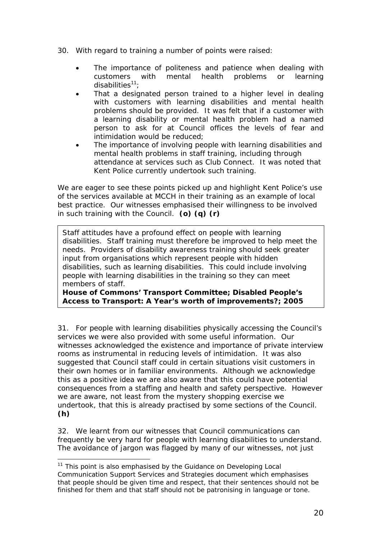- 30. With regard to training a number of points were raised:
	- The importance of politeness and patience when dealing with customers with mental health problems or learning disabilities $11$ :
	- That a designated person trained to a higher level in dealing with customers with learning disabilities and mental health problems should be provided. It was felt that if a customer with a learning disability or mental health problem had a named person to ask for at Council offices the levels of fear and intimidation would be reduced;
	- The importance of involving people with learning disabilities and mental health problems in staff training, including through attendance at services such as Club Connect. It was noted that Kent Police currently undertook such training.

We are eager to see these points picked up and highlight Kent Police's use of the services available at MCCH in their training as an example of local best practice. Our witnesses emphasised their willingness to be involved in such training with the Council. **(o) (q) (r)**

Staff attitudes have a profound effect on people with learning disabilities. Staff training must therefore be improved to help meet the needs. Providers of disability awareness training should seek greater input from organisations which represent people with hidden disabilities, such as learning disabilities. This could include involving people with learning disabilities in the training so they can meet members of staff.

**House of Commons' Transport Committee;** *Disabled People's Access to Transport: A Year's worth of improvements?***; 2005**

31. For people with learning disabilities physically accessing the Council's services we were also provided with some useful information. Our witnesses acknowledged the existence and importance of private interview rooms as instrumental in reducing levels of intimidation. It was also suggested that Council staff could in certain situations visit customers in their own homes or in familiar environments. Although we acknowledge this as a positive idea we are also aware that this could have potential consequences from a staffing and health and safety perspective. However we are aware, not least from the mystery shopping exercise we undertook, that this is already practised by some sections of the Council. **(h)**

32. We learnt from our witnesses that Council communications can frequently be very hard for people with learning disabilities to understand. The avoidance of jargon was flagged by many of our witnesses, not just

<span id="page-20-0"></span> $11$  This point is also emphasised by the Guidance on Developing Local Communication Support Services and Strategies document which emphasises that people should be given time and respect, that their sentences should not be finished for them and that staff should not be patronising in language or tone.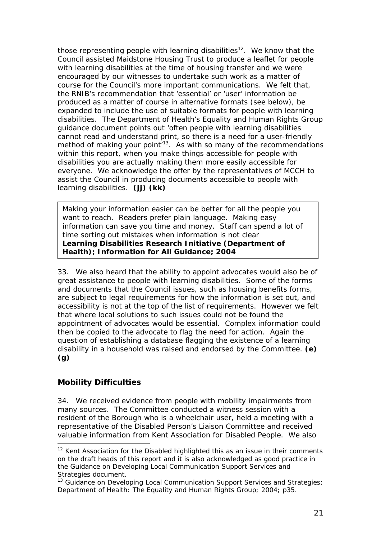<span id="page-21-0"></span>those representing people with learning disabilities<sup>12</sup>. We know that the Council assisted Maidstone Housing Trust to produce a leaflet for people with learning disabilities at the time of housing transfer and we were encouraged by our witnesses to undertake such work as a matter of course for the Council's more important communications. We felt that, the RNIB's recommendation that 'essential' or 'user' information be produced as a matter of course in alternative formats (see below), be expanded to include the use of suitable formats for people with learning disabilities. The Department of Health's Equality and Human Rights Group guidance document points out 'often people with learning disabilities cannot read and understand print, so there is a need for a user-friendly method of making your point<sup> $13$ </sup>. As with so many of the recommendations within this report, when you make things accessible for people with disabilities you are actually making them more easily accessible for everyone. We acknowledge the offer by the representatives of MCCH to assist the Council in producing documents accessible to people with learning disabilities. (ii) (kk)

*Making your information easier can be better for all the people you want to reach. Readers prefer plain language. Making easy information can save you time and money. Staff can spend a lot of time sorting out mistakes when information is not clear*  **Learning Disabilities Research Initiative (Department of Health);** *Information for All Guidance***; 2004** 

33. We also heard that the ability to appoint advocates would also be of great assistance to people with learning disabilities. Some of the forms and documents that the Council issues, such as housing benefits forms, are subject to legal requirements for how the information is set out, and accessibility is not at the top of the list of requirements. However we felt that where local solutions to such issues could not be found the appointment of advocates would be essential. Complex information could then be copied to the advocate to flag the need for action. Again the question of establishing a database flagging the existence of a learning disability in a household was raised and endorsed by the Committee. **(e) (g)**

## **Mobility Difficulties**

34. We received evidence from people with mobility impairments from many sources. The Committee conducted a witness session with a resident of the Borough who is a wheelchair user, held a meeting with a representative of the Disabled Person's Liaison Committee and received valuable information from Kent Association for Disabled People. We also

<span id="page-21-1"></span> $12$  Kent Association for the Disabled highlighted this as an issue in their comments on the draft heads of this report and it is also acknowledged as good practice in the Guidance on Developing Local Communication Support Services and Strategies document.

<span id="page-21-2"></span><sup>&</sup>lt;sup>13</sup> Guidance on Developing Local Communication Support Services and Strategies; *Department of Health: The Equality and Human Rights Group*; 2004; p35.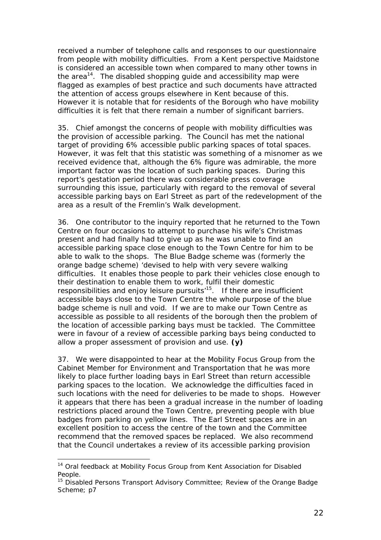received a number of telephone calls and responses to our questionnaire from people with mobility difficulties. From a Kent perspective Maidstone is considered an accessible town when compared to many other towns in the area<sup>14</sup>. The disabled shopping guide and accessibility map were flagged as examples of best practice and such documents have attracted the attention of access groups elsewhere in Kent because of this. However it is notable that for residents of the Borough who have mobility difficulties it is felt that there remain a number of significant barriers.

35. Chief amongst the concerns of people with mobility difficulties was the provision of accessible parking. The Council has met the national target of providing 6% accessible public parking spaces of total spaces. However, it was felt that this statistic was something of a misnomer as we received evidence that, although the 6% figure was admirable, the more important factor was the location of such parking spaces. During this report's gestation period there was considerable press coverage surrounding this issue, particularly with regard to the removal of several accessible parking bays on Earl Street as part of the redevelopment of the area as a result of the Fremlin's Walk development.

36. One contributor to the inquiry reported that he returned to the Town Centre on four occasions to attempt to purchase his wife's Christmas present and had finally had to give up as he was unable to find an accessible parking space close enough to the Town Centre for him to be able to walk to the shops. The Blue Badge scheme was (formerly the orange badge scheme) 'devised to help with very severe walking difficulties. It enables those people to park their vehicles close enough to their destination to enable them to work, fulfil their domestic responsibilities and enjoy leisure pursuits<sup>15</sup>. If there are insufficient accessible bays close to the Town Centre the whole purpose of the blue badge scheme is null and void. If we are to make our Town Centre as accessible as possible to all residents of the borough then the problem of the location of accessible parking bays must be tackled. The Committee were in favour of a review of accessible parking bays being conducted to allow a proper assessment of provision and use. **(y)**

37. We were disappointed to hear at the Mobility Focus Group from the Cabinet Member for Environment and Transportation that he was more likely to place further loading bays in Earl Street than return accessible parking spaces to the location. We acknowledge the difficulties faced in such locations with the need for deliveries to be made to shops. However it appears that there has been a gradual increase in the number of loading restrictions placed around the Town Centre, preventing people with blue badges from parking on yellow lines. The Earl Street spaces are in an excellent position to access the centre of the town and the Committee recommend that the removed spaces be replaced. We also recommend that the Council undertakes a review of its accessible parking provision

<span id="page-22-0"></span><sup>&</sup>lt;sup>14</sup> Oral feedback at Mobility Focus Group from Kent Association for Disabled People.<br><sup>15</sup> Disabled Persons Transport Advisory Committee; *Review of the Orange Badge* 

<span id="page-22-1"></span>*Scheme*; p7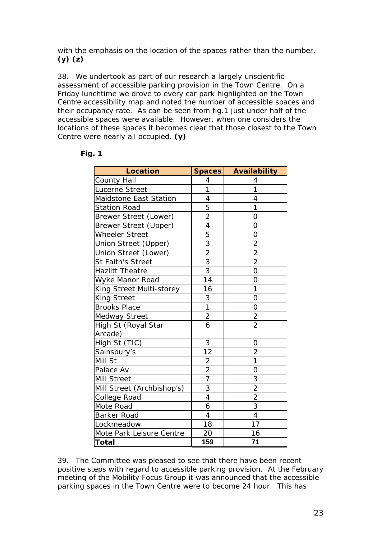with the emphasis on the location of the spaces rather than the number. **(y) (z)**

38. We undertook as part of our research a largely unscientific assessment of accessible parking provision in the Town Centre. On a Friday lunchtime we drove to every car park highlighted on the Town Centre accessibility map and noted the number of accessible spaces and their occupancy rate. As can be seen from fig.1 just under half of the accessible spaces were available. However, when one considers the locations of these spaces it becomes clear that those closest to the Town Centre were nearly all occupied. **(y)**

| <b>Location</b>            | Spaces         | <b>Availability</b> |
|----------------------------|----------------|---------------------|
| <b>County Hall</b>         | 4              | 4                   |
| Lucerne Street             | $\mathbf{1}$   | 1                   |
| Maidstone East Station     | $\overline{4}$ | 4                   |
| <b>Station Road</b>        | 5              | 1                   |
| Brewer Street (Lower)      | $\overline{2}$ | O                   |
| Brewer Street (Upper)      | $\overline{4}$ | 0                   |
| <b>Wheeler Street</b>      | 5              | 0                   |
| Union Street (Upper)       | $\overline{3}$ | $\overline{2}$      |
| Union Street (Lower)       | $\frac{2}{3}$  | $\overline{c}$      |
| St Faith's Street          |                | $\overline{2}$      |
| <b>Hazlitt Theatre</b>     | $\overline{3}$ | $\overline{O}$      |
| Wyke Manor Road            | 14             | $\overline{O}$      |
| King Street Multi-storey   | 16             | 1                   |
| <b>King Street</b>         | 3              | $\overline{O}$      |
| <b>Brooks Place</b>        | $\overline{1}$ | 0                   |
| <b>Medway Street</b>       | $\overline{2}$ | $\frac{2}{2}$       |
| High St (Royal Star        | $\overline{6}$ |                     |
| Arcade)                    |                |                     |
| High St (TIC)              | 3              | 0                   |
| Sainsbury's                | 12             | $\overline{2}$      |
| Mill St                    | $\overline{2}$ | 1                   |
| Palace Av                  | $\overline{2}$ | 0                   |
| Mill Street                | $\overline{7}$ | 3                   |
| Mill Street (Archbishop's) | 3              | $\frac{2}{2}$       |
| College Road               | 4              |                     |
| Mote Road                  | 6              | $\overline{3}$      |
| Barker Road                | $\overline{4}$ | 4                   |
| Lockmeadow                 | 18             | 17                  |
| Mote Park Leisure Centre   | 20             | 16                  |
| <b>Total</b>               | 159            | 71                  |

**Fig. 1** 

39. The Committee was pleased to see that there have been recent positive steps with regard to accessible parking provision. At the February meeting of the Mobility Focus Group it was announced that the accessible parking spaces in the Town Centre were to become 24 hour. This has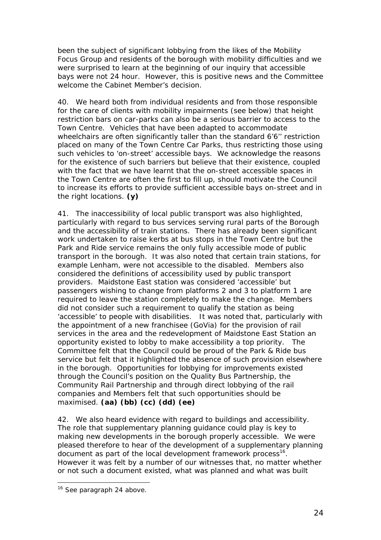been the subject of significant lobbying from the likes of the Mobility Focus Group and residents of the borough with mobility difficulties and we were surprised to learn at the beginning of our inquiry that accessible bays were not 24 hour. However, this is positive news and the Committee welcome the Cabinet Member's decision.

40. We heard both from individual residents and from those responsible for the care of clients with mobility impairments (see below) that height restriction bars on car-parks can also be a serious barrier to access to the Town Centre. Vehicles that have been adapted to accommodate wheelchairs are often significantly taller than the standard 6'6" restriction placed on many of the Town Centre Car Parks, thus restricting those using such vehicles to 'on-street' accessible bays. We acknowledge the reasons for the existence of such barriers but believe that their existence, coupled with the fact that we have learnt that the on-street accessible spaces in the Town Centre are often the first to fill up, should motivate the Council to increase its efforts to provide sufficient accessible bays on-street and in the right locations. **(y)**

41. The inaccessibility of local public transport was also highlighted, particularly with regard to bus services serving rural parts of the Borough and the accessibility of train stations. There has already been significant work undertaken to raise kerbs at bus stops in the Town Centre but the Park and Ride service remains the only fully accessible mode of public transport in the borough. It was also noted that certain train stations, for example Lenham, were not accessible to the disabled. Members also considered the definitions of accessibility used by public transport providers. Maidstone East station was considered 'accessible' but passengers wishing to change from platforms 2 and 3 to platform 1 are required to leave the station completely to make the change. Members did not consider such a requirement to qualify the station as being 'accessible' to people with disabilities. It was noted that, particularly with the appointment of a new franchisee (GoVia) for the provision of rail services in the area and the redevelopment of Maidstone East Station an opportunity existed to lobby to make accessibility a top priority. The Committee felt that the Council could be proud of the Park & Ride bus service but felt that it highlighted the absence of such provision elsewhere in the borough. Opportunities for lobbying for improvements existed through the Council's position on the Quality Bus Partnership, the Community Rail Partnership and through direct lobbying of the rail companies and Members felt that such opportunities should be maximised. **(aa) (bb) (cc) (dd) (ee)**

42. We also heard evidence with regard to buildings and accessibility. The role that supplementary planning guidance could play is key to making new developments in the borough properly accessible. We were pleased therefore to hear of the development of a supplementary planning document as part of the local development framework process<sup>16</sup>. However it was felt by a number of our witnesses that, no matter whether or not such a document existed, what was planned and what was built

<span id="page-24-0"></span><sup>&</sup>lt;sup>16</sup> See paragraph 24 above.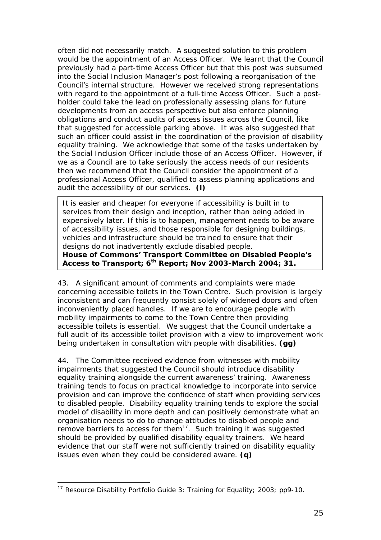often did not necessarily match. A suggested solution to this problem would be the appointment of an Access Officer. We learnt that the Council previously had a part-time Access Officer but that this post was subsumed into the Social Inclusion Manager's post following a reorganisation of the Council's internal structure. However we received strong representations with regard to the appointment of a full-time Access Officer. Such a postholder could take the lead on professionally assessing plans for future developments from an access perspective but also enforce planning obligations and conduct audits of access issues across the Council, like that suggested for accessible parking above. It was also suggested that such an officer could assist in the coordination of the provision of disability equality training. We acknowledge that some of the tasks undertaken by the Social Inclusion Officer include those of an Access Officer. However, if we as a Council are to take seriously the access needs of our residents then we recommend that the Council consider the appointment of a professional Access Officer, qualified to assess planning applications and audit the accessibility of our services. **(i)**

*It is easier and cheaper for everyone if accessibility is built in to services from their design and inception, rather than being added in expensively later. If this is to happen, management needs to be aware of accessibility issues, and those responsible for designing buildings, vehicles and infrastructure should be trained to ensure that their designs do not inadvertently exclude disabled people.*  **House of Commons' Transport Committee on Disabled People's Access to Transport; 6th Report; Nov 2003-March 2004; 31.** 

43. A significant amount of comments and complaints were made concerning accessible toilets in the Town Centre. Such provision is largely inconsistent and can frequently consist solely of widened doors and often inconveniently placed handles. If we are to encourage people with mobility impairments to come to the Town Centre then providing accessible toilets is essential. We suggest that the Council undertake a full audit of its accessible toilet provision with a view to improvement work being undertaken in consultation with people with disabilities. **(gg)**

44. The Committee received evidence from witnesses with mobility impairments that suggested the Council should introduce disability equality training alongside the current *awareness'* training. Awareness training tends to focus on practical knowledge to incorporate into service provision and can improve the confidence of staff when providing services to disabled people. Disability equality training tends to explore the social model of disability in more depth and can positively demonstrate what an organisation needs to do to change attitudes to disabled people and remove barriers to access for them<sup>17</sup>. Such training it was suggested should be provided by qualified disability equality trainers. We heard evidence that our staff were not sufficiently trained on disability equality issues even when they could be considered aware. **(q)**

<span id="page-25-0"></span> <sup>17</sup> Resource Disability Portfolio Guide 3: *Training for Equality*; 2003; pp9-10.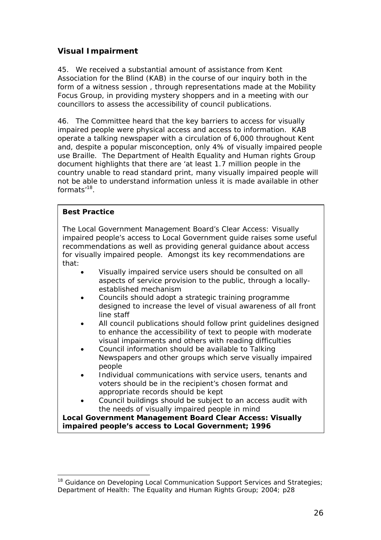## <span id="page-26-0"></span>**Visual Impairment**

45. We received a substantial amount of assistance from Kent Association for the Blind (KAB) in the course of our inquiry both in the form of a witness session , through representations made at the Mobility Focus Group, in providing mystery shoppers and in a meeting with our councillors to assess the accessibility of council publications.

46. The Committee heard that the key barriers to access for visually impaired people were physical access and access to information. KAB operate a talking newspaper with a circulation of 6,000 throughout Kent and, despite a popular misconception, only 4% of visually impaired people use Braille. The Department of Health Equality and Human rights Group document highlights that there are 'at least 1.7 million people in the country unable to read standard print, many visually impaired people will not be able to understand information unless it is made available in other formats'[18.](#page-26-1) 

### **Best Practice**

The Local Government Management Board's *Clear Access: Visually impaired people's access to Local Government* guide raises some useful recommendations as well as providing general guidance about access for visually impaired people. Amongst its key recommendations are that:

- Visually impaired service users should be consulted on all aspects of service provision to the public, through a locallyestablished mechanism
- Councils should adopt a strategic training programme designed to increase the level of visual awareness of all front line staff
- All council publications should follow print guidelines designed to enhance the accessibility of text to people with moderate visual impairments and others with reading difficulties
- Council information should be available to Talking Newspapers and other groups which serve visually impaired people
- Individual communications with service users, tenants and voters should be in the recipient's chosen format and appropriate records should be kept
- Council buildings should be subject to an access audit with the needs of visually impaired people in mind

**Local Government Management Board** *Clear Access: Visually impaired people's access to Local Government***; 1996** 

<span id="page-26-1"></span><sup>&</sup>lt;sup>18</sup> Guidance on Developing Local Communication Support Services and Strategies; *Department of Health: The Equality and Human Rights Group*; 2004; p28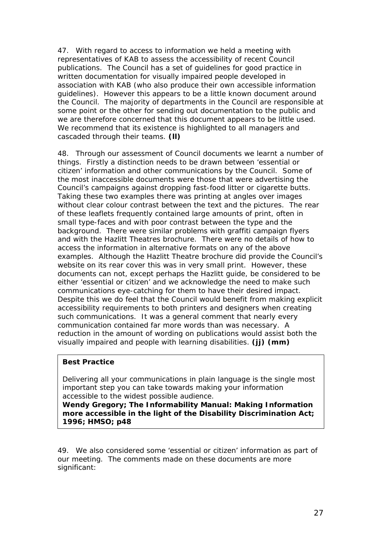47. With regard to access to information we held a meeting with representatives of KAB to assess the accessibility of recent Council publications. The Council has a set of guidelines for good practice in written documentation for visually impaired people developed in association with KAB (who also produce their own accessible information guidelines). However this appears to be a little known document around the Council. The majority of departments in the Council are responsible at some point or the other for sending out documentation to the public and we are therefore concerned that this document appears to be little used. We recommend that its existence is highlighted to all managers and cascaded through their teams. **(ll)**

48. Through our assessment of Council documents we learnt a number of things. Firstly a distinction needs to be drawn between 'essential or citizen' information and other communications by the Council. Some of the most inaccessible documents were those that were advertising the Council's campaigns against dropping fast-food litter or cigarette butts. Taking these two examples there was printing at angles over images without clear colour contrast between the text and the pictures. The rear of these leaflets frequently contained large amounts of print, often in small type-faces and with poor contrast between the type and the background. There were similar problems with graffiti campaign flyers and with the Hazlitt Theatres brochure. There were no details of how to access the information in alternative formats on any of the above examples. Although the Hazlitt Theatre brochure did provide the Council's website on its rear cover this was in very small print. However, these documents can not, except perhaps the Hazlitt guide, be considered to be either 'essential or citizen' and we acknowledge the need to make such communications eye-catching for them to have their desired impact. Despite this we do feel that the Council would benefit from making explicit accessibility requirements to both printers and designers when creating such communications. It was a general comment that nearly every communication contained far more words than was necessary. A reduction in the amount of wording on publications would assist both the visually impaired and people with learning disabilities. **(jj) (mm)**

### **Best Practice**

Delivering all your communications in plain language is the single most important step you can take towards making your information accessible to the widest possible audience.

**Wendy Gregory;** *The Informability Manual: Making Information more accessible in the light of the Disability Discrimination Act***; 1996; HMSO; p48** 

49. We also considered some 'essential or citizen' information as part of our meeting. The comments made on these documents are more significant: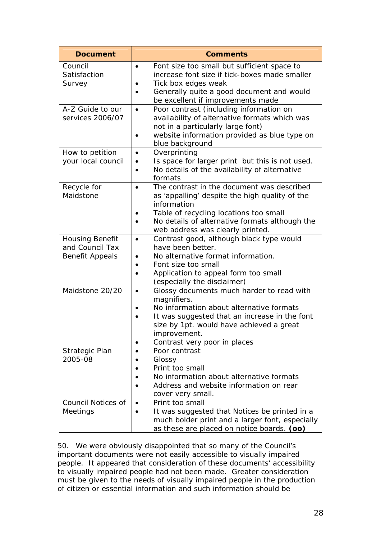| <b>Document</b>                       | <b>Comments</b>                                                                                                                                                                                                                                                |
|---------------------------------------|----------------------------------------------------------------------------------------------------------------------------------------------------------------------------------------------------------------------------------------------------------------|
| Council<br>Satisfaction<br>Survey     | Font size too small but sufficient space to<br>$\bullet$<br>increase font size if tick-boxes made smaller<br>Tick box edges weak<br>Generally quite a good document and would<br>$\bullet$                                                                     |
|                                       | be excellent if improvements made                                                                                                                                                                                                                              |
| A-Z Guide to our<br>services 2006/07  | Poor contrast (including information on<br>$\bullet$<br>availability of alternative formats which was<br>not in a particularly large font)<br>website information provided as blue type on<br>blue background                                                  |
| How to petition<br>your local council | Overprinting<br>$\bullet$<br>Is space for larger print but this is not used.<br>$\bullet$<br>No details of the availability of alternative<br>formats                                                                                                          |
| Recycle for<br>Maidstone              | The contrast in the document was described<br>$\bullet$<br>as 'appalling' despite the high quality of the<br>information<br>Table of recycling locations too small<br>No details of alternative formats although the<br>web address was clearly printed.       |
| Housing Benefit                       | Contrast good, although black type would<br>$\bullet$                                                                                                                                                                                                          |
| and Council Tax                       | have been better.                                                                                                                                                                                                                                              |
| <b>Benefit Appeals</b>                | No alternative format information.<br>٠<br>Font size too small<br>$\bullet$                                                                                                                                                                                    |
|                                       | Application to appeal form too small<br>(especially the disclaimer)                                                                                                                                                                                            |
| Maidstone 20/20                       | Glossy documents much harder to read with<br>$\bullet$<br>magnifiers.<br>No information about alternative formats<br>It was suggested that an increase in the font<br>size by 1pt. would have achieved a great<br>improvement.<br>Contrast very poor in places |
| Strategic Plan                        | Poor contrast<br>$\bullet$                                                                                                                                                                                                                                     |
| 2005-08                               | Glossy<br>Print too small                                                                                                                                                                                                                                      |
|                                       | No information about alternative formats<br>Address and website information on rear<br>cover very small.                                                                                                                                                       |
| <b>Council Notices of</b><br>Meetings | Print too small<br>$\bullet$<br>It was suggested that Notices be printed in a<br>$\bullet$                                                                                                                                                                     |
|                                       | much bolder print and a larger font, especially<br>as these are placed on notice boards. (oo)                                                                                                                                                                  |

50. We were obviously disappointed that so many of the Council's important documents were not easily accessible to visually impaired people. It appeared that consideration of these documents' accessibility to visually impaired people had not been made. Greater consideration must be given to the needs of visually impaired people in the production of citizen or essential information and such information should be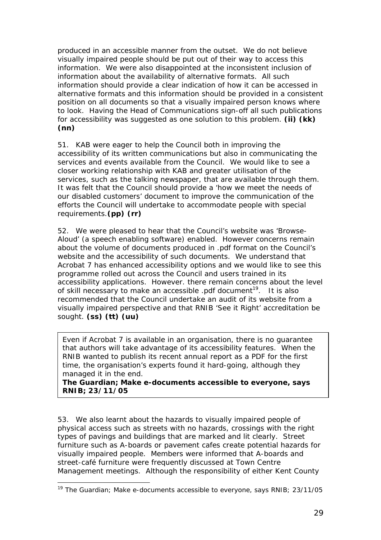produced in an accessible manner from the outset. We do not believe visually impaired people should be put out of their way to access this information. We were also disappointed at the inconsistent inclusion of information about the availability of alternative formats. All such information should provide a clear indication of how it can be accessed in alternative formats and this information should be provided in a consistent position on all documents so that a visually impaired person knows where to look. Having the Head of Communications sign-off all such publications for accessibility was suggested as one solution to this problem. **(ii) (kk) (nn)**

51. KAB were eager to help the Council both in improving the accessibility of its written communications but also in communicating the services and events available from the Council. We would like to see a closer working relationship with KAB and greater utilisation of the services, such as the talking newspaper, that are available through them. It was felt that the Council should provide a 'how we meet the needs of our disabled customers' document to improve the communication of the efforts the Council will undertake to accommodate people with special requirements.**(pp) (rr)**

52. We were pleased to hear that the Council's website was 'Browse-Aloud' (a speech enabling software) enabled. However concerns remain about the volume of documents produced in .pdf format on the Council's website and the accessibility of such documents. We understand that Acrobat 7 has enhanced accessibility options and we would like to see this programme rolled out across the Council and users trained in its accessibility applications. However. there remain concerns about the level of skill necessary to make an accessible .pdf document<sup>19</sup>. It is also recommended that the Council undertake an audit of its website from a visually impaired perspective and that RNIB 'See it Right' accreditation be sought. **(ss) (tt) (uu)**

Even if Acrobat 7 is available in an organisation, there is no guarantee that authors will take advantage of its accessibility features. When the RNIB wanted to publish its recent annual report as a PDF for the first time, the organisation's experts found it hard-going, although they managed it in the end.

**The Guardian;** *Make e-documents accessible to everyone, says RNIB***; 23/11/05** 

53. We also learnt about the hazards to visually impaired people of physical access such as streets with no hazards, crossings with the right types of pavings and buildings that are marked and lit clearly. Street furniture such as A-boards or pavement cafes create potential hazards for visually impaired people. Members were informed that A-boards and street-café furniture were frequently discussed at Town Centre Management meetings. Although the responsibility of either Kent County

<span id="page-29-0"></span> <sup>19</sup> The Guardian; *Make e-documents accessible to everyone, says RNIB*; 23/11/05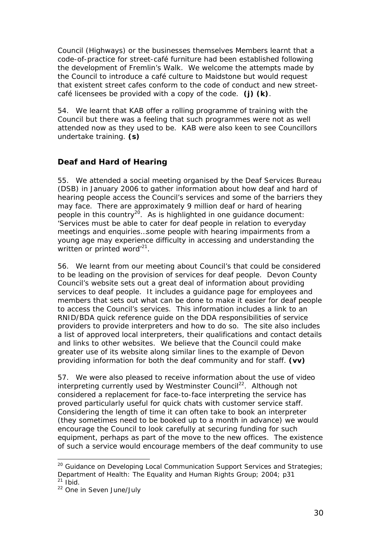<span id="page-30-0"></span>Council (Highways) or the businesses themselves Members learnt that a code-of-practice for street-café furniture had been established following the development of Fremlin's Walk. We welcome the attempts made by the Council to introduce a café culture to Maidstone but would request that existent street cafes conform to the code of conduct and new streetcafé licensees be provided with a copy of the code. **(j) (k)**.

54. We learnt that KAB offer a rolling programme of training with the Council but there was a feeling that such programmes were not as well attended now as they used to be. KAB were also keen to see Councillors undertake training. **(s)**

## **Deaf and Hard of Hearing**

55. We attended a social meeting organised by the Deaf Services Bureau (DSB) in January 2006 to gather information about how deaf and hard of hearing people access the Council's services and some of the barriers they may face. There are approximately 9 million deaf or hard of hearing people in this country<sup>20</sup>. As is highlighted in one guidance document: 'Services must be able to cater for deaf people in relation to everyday meetings and enquiries…some people with hearing impairments from a young age may experience difficulty in accessing and understanding the written or printed word<sup>'21</sup>.

56. We learnt from our meeting about Council's that could be considered to be leading on the provision of services for deaf people. Devon County Council's website sets out a great deal of information about providing services to deaf people. It includes a guidance page for employees and members that sets out what can be done to make it easier for deaf people to access the Council's services. This information includes a link to an RNID/BDA quick reference guide on the DDA responsibilities of service providers to provide interpreters and how to do so. The site also includes a list of approved local interpreters, their qualifications and contact details and links to other websites. We believe that the Council could make greater use of its website along similar lines to the example of Devon providing information for both the deaf community and for staff. **(vv)**

57. We were also pleased to receive information about the use of video interpreting currently used by Westminster Council<sup>22</sup>. Although not considered a replacement for face-to-face interpreting the service has proved particularly useful for quick chats with customer service staff. Considering the length of time it can often take to book an interpreter (they sometimes need to be booked up to a month in advance) we would encourage the Council to look carefully at securing funding for such equipment, perhaps as part of the move to the new offices. The existence of such a service would encourage members of the deaf community to use

<span id="page-30-1"></span><sup>&</sup>lt;sup>20</sup> Guidance on Developing Local Communication Support Services and Strategies; *Department of Health: The Equality and Human Rights Group*; 2004; p31  $21$  ibid.

<span id="page-30-3"></span><span id="page-30-2"></span><sup>22</sup> *One in Seven* June/July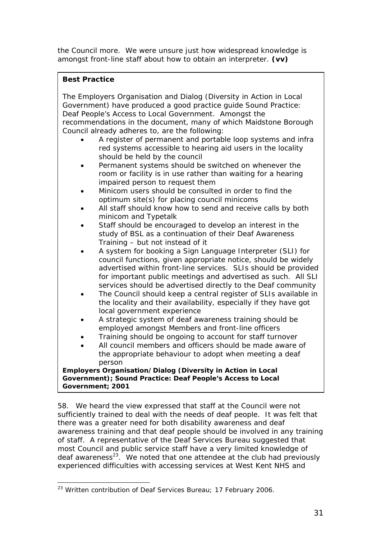the Council more. We were unsure just how widespread knowledge is amongst front-line staff about how to obtain an interpreter. **(vv)**

## **Best Practice**

| The Employers Organisation and Dialog (Diversity in Action in Local<br>Government) have produced a good practice guide Sound Practice:<br>Deaf People's Access to Local Government. Amongst the<br>recommendations in the document, many of which Maidstone Borough                                                            |  |  |  |  |  |
|--------------------------------------------------------------------------------------------------------------------------------------------------------------------------------------------------------------------------------------------------------------------------------------------------------------------------------|--|--|--|--|--|
| Council already adheres to, are the following:                                                                                                                                                                                                                                                                                 |  |  |  |  |  |
| A register of permanent and portable loop systems and infra<br>red systems accessible to hearing aid users in the locality<br>should be held by the council                                                                                                                                                                    |  |  |  |  |  |
| Permanent systems should be switched on whenever the<br>room or facility is in use rather than waiting for a hearing                                                                                                                                                                                                           |  |  |  |  |  |
| impaired person to request them<br>Minicom users should be consulted in order to find the<br>optimum site(s) for placing council minicoms                                                                                                                                                                                      |  |  |  |  |  |
| All staff should know how to send and receive calls by both<br>minicom and Typetalk                                                                                                                                                                                                                                            |  |  |  |  |  |
| Staff should be encouraged to develop an interest in the<br>study of BSL as a continuation of their Deaf Awareness<br>Training - but not instead of it                                                                                                                                                                         |  |  |  |  |  |
| A system for booking a Sign Language Interpreter (SLI) for<br>council functions, given appropriate notice, should be widely<br>advertised within front-line services. SLIs should be provided<br>for important public meetings and advertised as such. All SLI<br>services should be advertised directly to the Deaf community |  |  |  |  |  |
| The Council should keep a central register of SLIs available in<br>the locality and their availability, especially if they have got<br>local government experience                                                                                                                                                             |  |  |  |  |  |
| A strategic system of deaf awareness training should be<br>employed amongst Members and front-line officers                                                                                                                                                                                                                    |  |  |  |  |  |
| Training should be ongoing to account for staff turnover                                                                                                                                                                                                                                                                       |  |  |  |  |  |
| All council members and officers should be made aware of<br>$\bullet$<br>the appropriate behaviour to adopt when meeting a deaf<br>person                                                                                                                                                                                      |  |  |  |  |  |
| Employers Organisation/Dialog (Diversity in Action in Local                                                                                                                                                                                                                                                                    |  |  |  |  |  |
| Government); Sound Practice: Deaf People's Access to Local                                                                                                                                                                                                                                                                     |  |  |  |  |  |
| Government; 2001                                                                                                                                                                                                                                                                                                               |  |  |  |  |  |

58. We heard the view expressed that staff at the Council were not sufficiently trained to deal with the needs of deaf people. It was felt that there was a greater need for both disability awareness and deaf awareness training and that deaf people should be involved in any training of staff. A representative of the Deaf Services Bureau suggested that most Council and public service staff have a very limited knowledge of deaf awareness<sup>23</sup>. We noted that one attendee at the club had previously experienced difficulties with accessing services at West Kent NHS and

<span id="page-31-0"></span><sup>&</sup>lt;sup>23</sup> Written contribution of Deaf Services Bureau; 17 February 2006.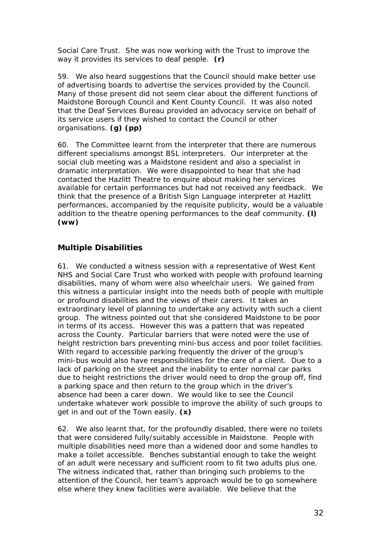<span id="page-32-0"></span>Social Care Trust. She was now working with the Trust to improve the way it provides its services to deaf people. **(r)**

59. We also heard suggestions that the Council should make better use of advertising boards to advertise the services provided by the Council. Many of those present did not seem clear about the different functions of Maidstone Borough Council and Kent County Council. It was also noted that the Deaf Services Bureau provided an advocacy service on behalf of its service users if they wished to contact the Council or other organisations. **(g) (pp)**

60. The Committee learnt from the interpreter that there are numerous different specialisms amongst BSL interpreters. Our interpreter at the social club meeting was a Maidstone resident and also a specialist in dramatic interpretation. We were disappointed to hear that she had contacted the Hazlitt Theatre to enquire about making her services available for certain performances but had not received any feedback. We think that the presence of a British Sign Language interpreter at Hazlitt performances, accompanied by the requisite publicity, would be a valuable addition to the theatre opening performances to the deaf community. **(l) (ww)**

## **Multiple Disabilities**

61. We conducted a witness session with a representative of West Kent NHS and Social Care Trust who worked with people with profound learning disabilities, many of whom were also wheelchair users. We gained from this witness a particular insight into the needs both of people with multiple or profound disabilities and the views of their carers. It takes an extraordinary level of planning to undertake any activity with such a client group. The witness pointed out that she considered Maidstone to be poor in terms of its access. However this was a pattern that was repeated across the County. Particular barriers that were noted were the use of height restriction bars preventing mini-bus access and poor toilet facilities. With regard to accessible parking frequently the driver of the group's mini-bus would also have responsibilities for the care of a client. Due to a lack of parking on the street and the inability to enter normal car parks due to height restrictions the driver would need to drop the group off, find a parking space and then return to the group which in the driver's absence had been a carer down. We would like to see the Council undertake whatever work possible to improve the ability of such groups to get in and out of the Town easily. **(x)**

62. We also learnt that, for the profoundly disabled, there were no toilets that were considered fully/suitably accessible in Maidstone. People with multiple disabilities need more than a widened door and some handles to make a toilet accessible. Benches substantial enough to take the weight of an adult were necessary and sufficient room to fit two adults plus one. The witness indicated that, rather than bringing such problems to the attention of the Council, her team's approach would be to go somewhere else where they knew facilities were available. We believe that the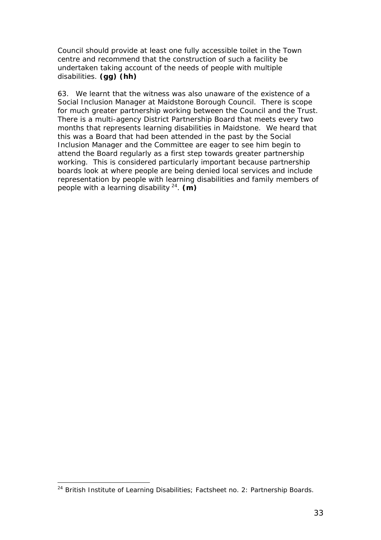Council should provide at least one fully accessible toilet in the Town centre and recommend that the construction of such a facility be undertaken taking account of the needs of people with multiple disabilities. **(gg) (hh)**

63. We learnt that the witness was also unaware of the existence of a Social Inclusion Manager at Maidstone Borough Council. There is scope for much greater partnership working between the Council and the Trust. There is a multi-agency District Partnership Board that meets every two months that represents learning disabilities in Maidstone. We heard that this was a Board that had been attended in the past by the Social Inclusion Manager and the Committee are eager to see him begin to attend the Board regularly as a first step towards greater partnership working. This is considered particularly important because partnership boards look at where people are being denied local services and include representation by people with learning disabilities and family members of people with a learning disability [24.](#page-33-0) **(m)**

<span id="page-33-0"></span> <sup>24</sup> British Institute of Learning Disabilities; *Factsheet no. 2: Partnership Boards*.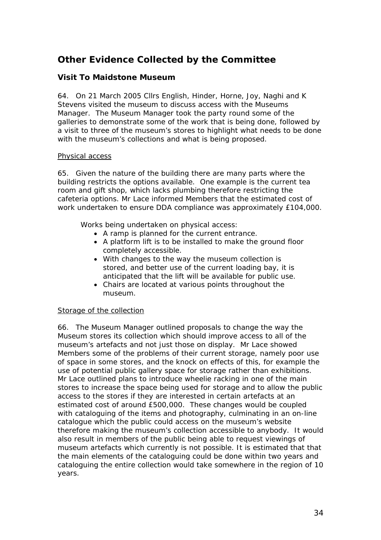# <span id="page-34-0"></span>**Other Evidence Collected by the Committee**

## **Visit To Maidstone Museum**

64. On 21 March 2005 Cllrs English, Hinder, Horne, Joy, Naghi and K Stevens visited the museum to discuss access with the Museums Manager. The Museum Manager took the party round some of the galleries to demonstrate some of the work that is being done, followed by a visit to three of the museum's stores to highlight what needs to be done with the museum's collections and what is being proposed.

#### Physical access

65. Given the nature of the building there are many parts where the building restricts the options available. One example is the current tea room and gift shop, which lacks plumbing therefore restricting the cafeteria options. Mr Lace informed Members that the estimated cost of work undertaken to ensure DDA compliance was approximately £104,000.

Works being undertaken on physical access:

- A ramp is planned for the current entrance.
- A platform lift is to be installed to make the ground floor completely accessible.
- With changes to the way the museum collection is stored, and better use of the current loading bay, it is anticipated that the lift will be available for public use.
- Chairs are located at various points throughout the museum.

### Storage of the collection

66. The Museum Manager outlined proposals to change the way the Museum stores its collection which should improve access to all of the museum's artefacts and not just those on display. Mr Lace showed Members some of the problems of their current storage, namely poor use of space in some stores, and the knock on effects of this, for example the use of potential public gallery space for storage rather than exhibitions. Mr Lace outlined plans to introduce wheelie racking in one of the main stores to increase the space being used for storage and to allow the public access to the stores if they are interested in certain artefacts at an estimated cost of around £500,000. These changes would be coupled with cataloguing of the items and photography, culminating in an on-line catalogue which the public could access on the museum's website therefore making the museum's collection accessible to anybody. It would also result in members of the public being able to request viewings of museum artefacts which currently is not possible. It is estimated that that the main elements of the cataloguing could be done within two years and cataloguing the entire collection would take somewhere in the region of 10 years.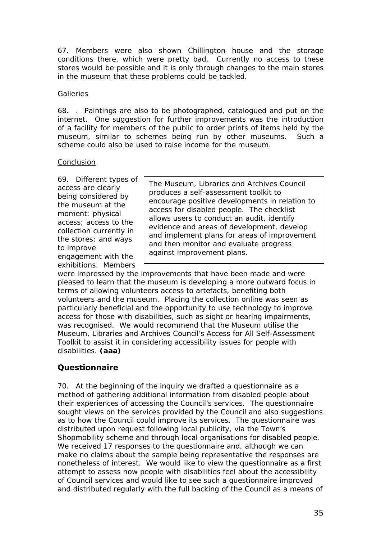<span id="page-35-0"></span>67. Members were also shown Chillington house and the storage conditions there, which were pretty bad. Currently no access to these stores would be possible and it is only through changes to the main stores in the museum that these problems could be tackled.

#### **Galleries**

68. . Paintings are also to be photographed, catalogued and put on the internet. One suggestion for further improvements was the introduction of a facility for members of the public to order prints of items held by the museum, similar to schemes being run by other museums. Such a scheme could also be used to raise income for the museum.

#### Conclusion

69. Different types of access are clearly being considered by the museum at the moment: physical access; access to the collection currently in the stores; and ways to improve

engagement with the exhibitions. Members

*The Museum, Libraries and Archives Council produces a self-assessment toolkit to encourage positive developments in relation to access for disabled people. The checklist allows users to conduct an audit, identify evidence and areas of development, develop and implement plans for areas of improvement and then monitor and evaluate progress against improvement plans.* 

were impressed by the improvements that have been made and were pleased to learn that the museum is developing a more outward focus in terms of allowing volunteers access to artefacts, benefiting both volunteers and the museum. Placing the collection online was seen as particularly beneficial and the opportunity to use technology to improve access for those with disabilities, such as sight or hearing impairments, was recognised. We would recommend that the Museum utilise the Museum, Libraries and Archives Council's *Access for All Self-Assessment Toolkit* to assist it in considering accessibility issues for people with disabilities. **(aaa)**

## **Questionnaire**

70. At the beginning of the inquiry we drafted a questionnaire as a method of gathering additional information from disabled people about their experiences of accessing the Council's services. The questionnaire sought views on the services provided by the Council and also suggestions as to how the Council could improve its services. The questionnaire was distributed upon request following local publicity, via the Town's Shopmobility scheme and through local organisations for disabled people. We received 17 responses to the questionnaire and, although we can make no claims about the sample being representative the responses are nonetheless of interest. We would like to view the questionnaire as a first attempt to assess how people with disabilities feel about the accessibility of Council services and would like to see such a questionnaire improved and distributed regularly with the full backing of the Council as a means of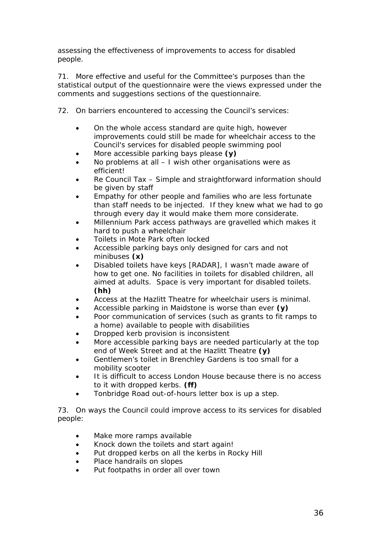assessing the effectiveness of improvements to access for disabled people.

71. More effective and useful for the Committee's purposes than the statistical output of the questionnaire were the views expressed under the comments and suggestions sections of the questionnaire.

- 72. On barriers encountered to accessing the Council's services:
	- *On the whole access standard are quite high, however improvements could still be made for wheelchair access to the Council's services for disabled people swimming pool*
	- *More accessible parking bays please* **(y)**
	- *No problems at all I wish other organisations were as efficient!*
	- *Re Council Tax Simple and straightforward information should be given by staff*
	- *Empathy for other people and families who are less fortunate than staff needs to be injected. If they knew what we had to go through every day it would make them more considerate.*
	- *Millennium Park access pathways are gravelled which makes it hard to push a wheelchair*
	- *Toilets in Mote Park often locked*
	- *Accessible parking bays only designed for cars and not minibuses* **(x)**
	- *Disabled toilets have keys* [RADAR]*, I wasn't made aware of how to get one. No facilities in toilets for disabled children, all aimed at adults. Space is very important for disabled toilets.* **(hh)**
	- *Access at the Hazlitt Theatre for wheelchair users is minimal.*
	- *Accessible parking in Maidstone is worse than ever* **(y)**
	- *Poor communication of services (such as grants to fit ramps to a home) available to people with disabilities*
	- *Dropped kerb provision is inconsistent*
	- *More accessible parking bays are needed particularly at the top end of Week Street and at the Hazlitt Theatre* **(y)**
	- *Gentlemen's toilet in Brenchley Gardens is too small for a mobility scooter*
	- *It is difficult to access London House because there is no access to it with dropped kerbs.* **(ff)**
	- *Tonbridge Road out-of-hours letter box is up a step.*

73. On ways the Council could improve access to its services for disabled people:

- *Make more ramps available*
- *Knock down the toilets and start again!*
- *Put dropped kerbs on all the kerbs in Rocky Hill*
- *Place handrails on slopes*
- *Put footpaths in order all over town*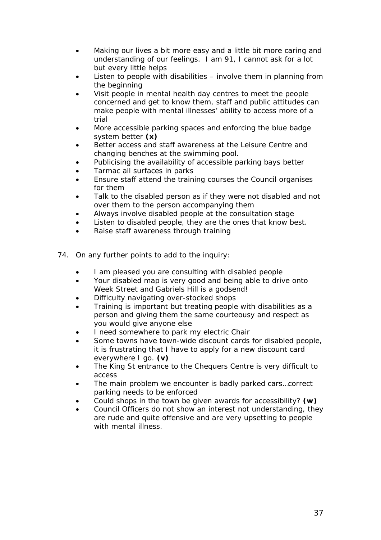- *Making our lives a bit more easy and a little bit more caring and understanding of our feelings. I am 91, I cannot ask for a lot but every little helps*
- *Listen to people with disabilities involve them in planning from the beginning*
- *Visit people in mental health day centres to meet the people concerned and get to know them, staff and public attitudes can make people with mental illnesses' ability to access more of a trial*
- *More accessible parking spaces and enforcing the blue badge system better* **(x)**
- *Better access and staff awareness at the Leisure Centre and changing benches at the swimming pool.*
- *Publicising the availability of accessible parking bays better*
- *Tarmac all surfaces in parks*
- *Ensure staff attend the training courses the Council organises for them*
- *Talk to the disabled person as if they were not disabled and not over them to the person accompanying them*
- *Always involve disabled people at the consultation stage*
- *Listen to disabled people, they are the ones that know best.*
- *Raise staff awareness through training*
- 74. On any further points to add to the inquiry:
	- *I am pleased you are consulting with disabled people*
	- *Your disabled map is very good and being able to drive onto Week Street and Gabriels Hill is a godsend!*
	- *Difficulty navigating over-stocked shops*
	- *Training is important but treating people with disabilities as a person and giving them the same courteousy and respect as you would give anyone else*
	- *I need somewhere to park my electric Chair*
	- *Some towns have town-wide discount cards for disabled people, it is frustrating that I have to apply for a new discount card everywhere I go.* **(v)**
	- *The King St entrance to the Chequers Centre is very difficult to access*
	- *The main problem we encounter is badly parked cars…correct parking needs to be enforced*
	- *Could shops in the town be given awards for accessibility?* **(w)**
	- *Council Officers do not show an interest not understanding, they are rude and quite offensive and are very upsetting to people with mental illness*.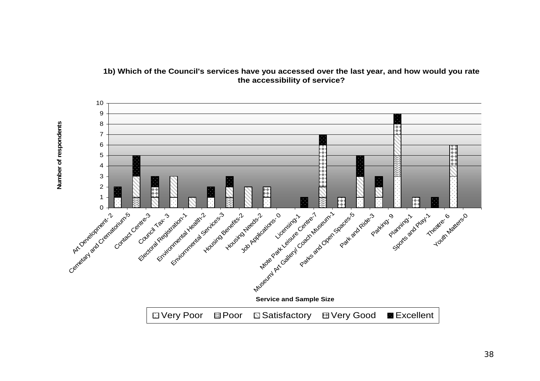

## **1b) Which of the Council's services have you accessed over the last year, and how would you rate the accessibility of service?**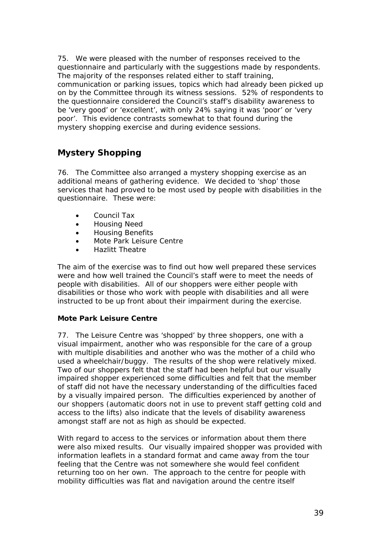<span id="page-39-0"></span>75. We were pleased with the number of responses received to the questionnaire and particularly with the suggestions made by respondents. The majority of the responses related either to staff training, communication or parking issues, topics which had already been picked up on by the Committee through its witness sessions. 52% of respondents to the questionnaire considered the Council's staff's disability awareness to be 'very good' or 'excellent', with only 24% saying it was 'poor' or 'very poor'. This evidence contrasts somewhat to that found during the mystery shopping exercise and during evidence sessions.

## **Mystery Shopping**

76. The Committee also arranged a mystery shopping exercise as an additional means of gathering evidence. We decided to 'shop' those services that had proved to be most used by people with disabilities in the questionnaire. These were:

- Council Tax
- Housing Need
- Housing Benefits
- Mote Park Leisure Centre
- Hazlitt Theatre

The aim of the exercise was to find out how well prepared these services were and how well trained the Council's staff were to meet the needs of people with disabilities. All of our shoppers were either people with disabilities or those who work with people with disabilities and all were instructed to be up front about their impairment during the exercise.

### **Mote Park Leisure Centre**

77. The Leisure Centre was 'shopped' by three shoppers, one with a visual impairment, another who was responsible for the care of a group with multiple disabilities and another who was the mother of a child who used a wheelchair/buggy. The results of the shop were relatively mixed. Two of our shoppers felt that the staff had been helpful but our visually impaired shopper experienced some difficulties and felt that the member of staff did not have the necessary understanding of the difficulties faced by a visually impaired person. The difficulties experienced by another of our shoppers (automatic doors not in use to prevent staff getting cold and access to the lifts) also indicate that the levels of disability awareness amongst staff are not as high as should be expected.

With regard to access to the services or information about them there were also mixed results. Our visually impaired shopper was provided with information leaflets in a standard format and came away from the tour feeling that the Centre was not somewhere she would feel confident returning too on her own. The approach to the centre for people with mobility difficulties was flat and navigation around the centre itself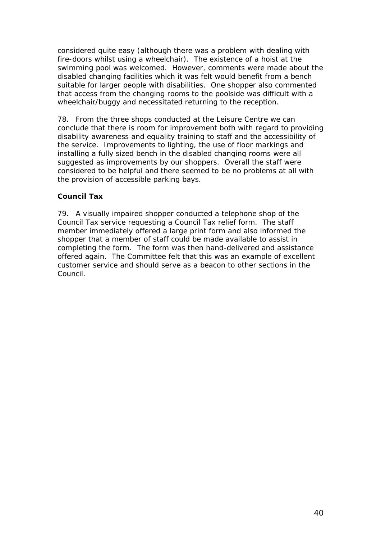considered quite easy (although there was a problem with dealing with fire-doors whilst using a wheelchair). The existence of a hoist at the swimming pool was welcomed. However, comments were made about the disabled changing facilities which it was felt would benefit from a bench suitable for larger people with disabilities. One shopper also commented that access from the changing rooms to the poolside was difficult with a wheelchair/buggy and necessitated returning to the reception.

78. From the three shops conducted at the Leisure Centre we can conclude that there is room for improvement both with regard to providing disability awareness and equality training to staff and the accessibility of the service. Improvements to lighting, the use of floor markings and installing a fully sized bench in the disabled changing rooms were all suggested as improvements by our shoppers. Overall the staff were considered to be helpful and there seemed to be no problems at all with the provision of accessible parking bays.

## **Council Tax**

79. A visually impaired shopper conducted a telephone shop of the Council Tax service requesting a Council Tax relief form. The staff member immediately offered a large print form and also informed the shopper that a member of staff could be made available to assist in completing the form. The form was then hand-delivered and assistance offered again. The Committee felt that this was an example of excellent customer service and should serve as a beacon to other sections in the Council.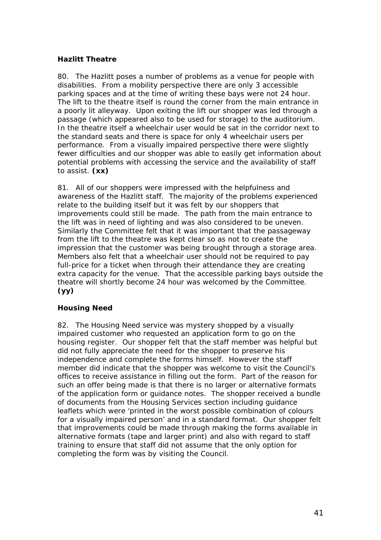## **Hazlitt Theatre**

80. The Hazlitt poses a number of problems as a venue for people with disabilities. From a mobility perspective there are only 3 accessible parking spaces and at the time of writing these bays were not 24 hour. The lift to the theatre itself is round the corner from the main entrance in a poorly lit alleyway. Upon exiting the lift our shopper was led through a passage (which appeared also to be used for storage) to the auditorium. In the theatre itself a wheelchair user would be sat in the corridor next to the standard seats and there is space for only 4 wheelchair users per performance. From a visually impaired perspective there were slightly fewer difficulties and our shopper was able to easily get information about potential problems with accessing the service and the availability of staff to assist. **(xx)**

81. All of our shoppers were impressed with the helpfulness and awareness of the Hazlitt staff. The majority of the problems experienced relate to the building itself but it was felt by our shoppers that improvements could still be made. The path from the main entrance to the lift was in need of lighting and was also considered to be uneven. Similarly the Committee felt that it was important that the passageway from the lift to the theatre was kept clear so as not to create the impression that the customer was being brought through a storage area. Members also felt that a wheelchair user should not be required to pay full-price for a ticket when through their attendance they are creating extra capacity for the venue. That the accessible parking bays outside the theatre will shortly become 24 hour was welcomed by the Committee. **(yy)**

### **Housing Need**

82. The Housing Need service was mystery shopped by a visually impaired customer who requested an application form to go on the housing register. Our shopper felt that the staff member was helpful but did not fully appreciate the need for the shopper to preserve his independence and complete the forms himself. However the staff member did indicate that the shopper was welcome to visit the Council's offices to receive assistance in filling out the form. Part of the reason for such an offer being made is that there is no larger or alternative formats of the application form or guidance notes. The shopper received a bundle of documents from the Housing Services section including guidance leaflets which were 'printed in the worst possible combination of colours for a visually impaired person' and in a standard format. Our shopper felt that improvements could be made through making the forms available in alternative formats (tape and larger print) and also with regard to staff training to ensure that staff did not assume that the only option for completing the form was by visiting the Council.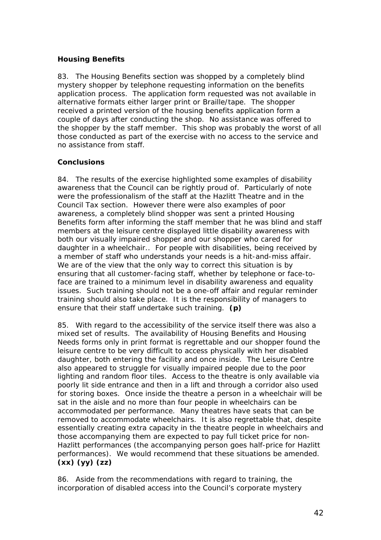## **Housing Benefits**

83. The Housing Benefits section was shopped by a completely blind mystery shopper by telephone requesting information on the benefits application process. The application form requested was not available in alternative formats either larger print or Braille/tape. The shopper received a printed version of the housing benefits application form a couple of days after conducting the shop. No assistance was offered to the shopper by the staff member. This shop was probably the worst of all those conducted as part of the exercise with no access to the service and no assistance from staff.

## **Conclusions**

84. The results of the exercise highlighted some examples of disability awareness that the Council can be rightly proud of. Particularly of note were the professionalism of the staff at the Hazlitt Theatre and in the Council Tax section. However there were also examples of poor awareness, a completely blind shopper was sent a printed Housing Benefits form after informing the staff member that he was blind and staff members at the leisure centre displayed little disability awareness with both our visually impaired shopper and our shopper who cared for daughter in a wheelchair.. For people with disabilities, being received by a member of staff who understands your needs is a hit-and-miss affair. We are of the view that the only way to correct this situation is by ensuring that all customer-facing staff, whether by telephone or face-toface are trained to a minimum level in disability awareness and equality issues. Such training should not be a one-off affair and regular reminder training should also take place. It is the responsibility of managers to ensure that their staff undertake such training. **(p)**

85. With regard to the accessibility of the service itself there was also a mixed set of results. The availability of Housing Benefits and Housing Needs forms only in print format is regrettable and our shopper found the leisure centre to be very difficult to access physically with her disabled daughter, both entering the facility and once inside. The Leisure Centre also appeared to struggle for visually impaired people due to the poor lighting and random floor tiles. Access to the theatre is only available via poorly lit side entrance and then in a lift and through a corridor also used for storing boxes. Once inside the theatre a person in a wheelchair will be sat in the aisle and no more than four people in wheelchairs can be accommodated per performance. Many theatres have seats that can be removed to accommodate wheelchairs. It is also regrettable that, despite essentially creating extra capacity in the theatre people in wheelchairs and those accompanying them are expected to pay full ticket price for non-Hazlitt performances (the accompanying person goes half-price for Hazlitt performances). We would recommend that these situations be amended. **(xx) (yy) (zz)**

86. Aside from the recommendations with regard to training, the incorporation of disabled access into the Council's corporate mystery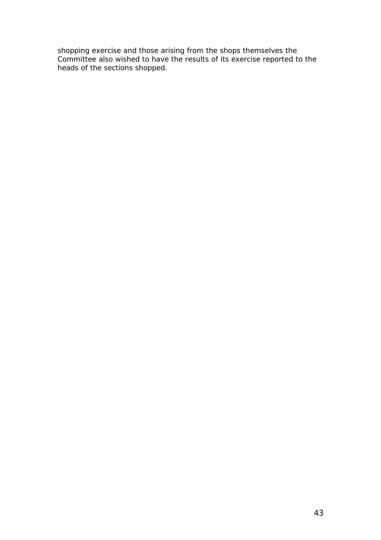shopping exercise and those arising from the shops themselves the Committee also wished to have the results of its exercise reported to the heads of the sections shopped.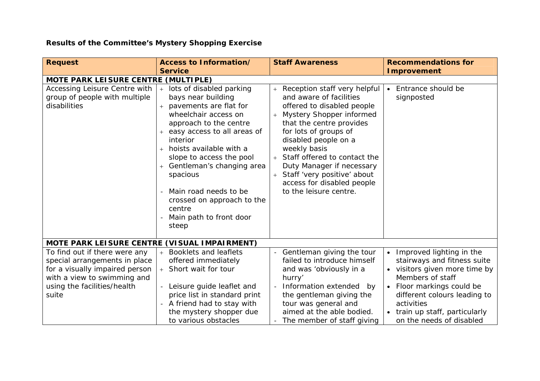# **Results of the Committee's Mystery Shopping Exercise**

| <b>Request</b>                                                                                                                                                          | <b>Access to Information/</b>                                                                                                                                                                                                                                                                                                                                                        | <b>Staff Awareness</b>                                                                                                                                                                                                                                                                                                                                                           | <b>Recommendations for</b>                                                                                                                                                                                                                            |  |  |  |
|-------------------------------------------------------------------------------------------------------------------------------------------------------------------------|--------------------------------------------------------------------------------------------------------------------------------------------------------------------------------------------------------------------------------------------------------------------------------------------------------------------------------------------------------------------------------------|----------------------------------------------------------------------------------------------------------------------------------------------------------------------------------------------------------------------------------------------------------------------------------------------------------------------------------------------------------------------------------|-------------------------------------------------------------------------------------------------------------------------------------------------------------------------------------------------------------------------------------------------------|--|--|--|
|                                                                                                                                                                         | <b>Service</b>                                                                                                                                                                                                                                                                                                                                                                       |                                                                                                                                                                                                                                                                                                                                                                                  | <b>Improvement</b>                                                                                                                                                                                                                                    |  |  |  |
| MOTE PARK LEISURE CENTRE (MULTIPLE)                                                                                                                                     |                                                                                                                                                                                                                                                                                                                                                                                      |                                                                                                                                                                                                                                                                                                                                                                                  |                                                                                                                                                                                                                                                       |  |  |  |
| Accessing Leisure Centre with<br>group of people with multiple<br>disabilities                                                                                          | lots of disabled parking<br>bays near building<br>pavements are flat for<br>wheelchair access on<br>approach to the centre<br>easy access to all areas of<br>interior<br>hoists available with a<br>$^{+}$<br>slope to access the pool<br>Gentleman's changing area<br>spacious<br>Main road needs to be<br>crossed on approach to the<br>centre<br>Main path to front door<br>steep | Reception staff very helpful<br>and aware of facilities<br>offered to disabled people<br>Mystery Shopper informed<br>that the centre provides<br>for lots of groups of<br>disabled people on a<br>weekly basis<br>Staff offered to contact the<br>$+$<br>Duty Manager if necessary<br>Staff 'very positive' about<br>$+$<br>access for disabled people<br>to the leisure centre. | Entrance should be<br>signposted                                                                                                                                                                                                                      |  |  |  |
| MOTE PARK LEISURE CENTRE (VISUAL IMPAIRMENT)                                                                                                                            |                                                                                                                                                                                                                                                                                                                                                                                      |                                                                                                                                                                                                                                                                                                                                                                                  |                                                                                                                                                                                                                                                       |  |  |  |
| To find out if there were any<br>special arrangements in place<br>for a visually impaired person<br>with a view to swimming and<br>using the facilities/health<br>suite | <b>Booklets and leaflets</b><br>offered immediately<br>+ Short wait for tour<br>Leisure guide leaflet and<br>$-$<br>price list in standard print<br>A friend had to stay with<br>the mystery shopper due<br>to various obstacles                                                                                                                                                     | Gentleman giving the tour<br>failed to introduce himself<br>and was 'obviously in a<br>hurry'<br>Information extended<br>by<br>the gentleman giving the<br>tour was general and<br>aimed at the able bodied.<br>The member of staff giving                                                                                                                                       | • Improved lighting in the<br>stairways and fitness suite<br>• visitors given more time by<br>Members of staff<br>Floor markings could be<br>different colours leading to<br>activities<br>• train up staff, particularly<br>on the needs of disabled |  |  |  |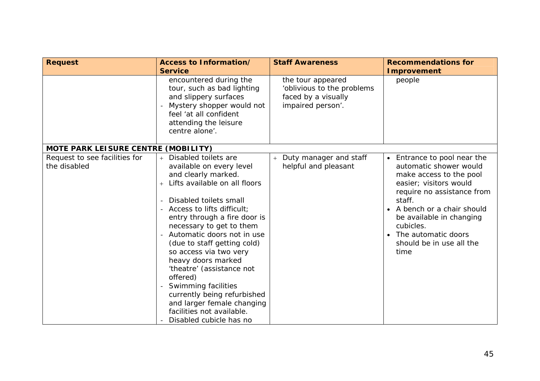| <b>Request</b>                                | <b>Access to Information/</b><br><b>Service</b>                                                                                                                                                                                                                                                                                                                                                                                                                                                                                                                           |                                                                                             | <b>Recommendations for</b><br><b>Improvement</b>                                                                                                                                                                                                                                      |  |
|-----------------------------------------------|---------------------------------------------------------------------------------------------------------------------------------------------------------------------------------------------------------------------------------------------------------------------------------------------------------------------------------------------------------------------------------------------------------------------------------------------------------------------------------------------------------------------------------------------------------------------------|---------------------------------------------------------------------------------------------|---------------------------------------------------------------------------------------------------------------------------------------------------------------------------------------------------------------------------------------------------------------------------------------|--|
|                                               | encountered during the<br>tour, such as bad lighting<br>and slippery surfaces<br>Mystery shopper would not<br>feel 'at all confident<br>attending the leisure<br>centre alone'.                                                                                                                                                                                                                                                                                                                                                                                           | the tour appeared<br>'oblivious to the problems<br>faced by a visually<br>impaired person'. | people                                                                                                                                                                                                                                                                                |  |
| MOTE PARK LEISURE CENTRE (MOBILITY)           |                                                                                                                                                                                                                                                                                                                                                                                                                                                                                                                                                                           |                                                                                             |                                                                                                                                                                                                                                                                                       |  |
| Request to see facilities for<br>the disabled | Disabled toilets are<br>available on every level<br>and clearly marked.<br>Lifts available on all floors<br>$+$<br>Disabled toilets small<br>$\equiv$<br>Access to lifts difficult;<br>$\equiv$<br>entry through a fire door is<br>necessary to get to them<br>Automatic doors not in use<br>$\equiv$<br>(due to staff getting cold)<br>so access via two very<br>heavy doors marked<br>'theatre' (assistance not<br>offered)<br>Swimming facilities<br>currently being refurbished<br>and larger female changing<br>facilities not available.<br>Disabled cubicle has no | Duty manager and staff<br>$+$<br>helpful and pleasant                                       | • Entrance to pool near the<br>automatic shower would<br>make access to the pool<br>easier; visitors would<br>require no assistance from<br>staff.<br>A bench or a chair should<br>be available in changing<br>cubicles.<br>• The automatic doors<br>should be in use all the<br>time |  |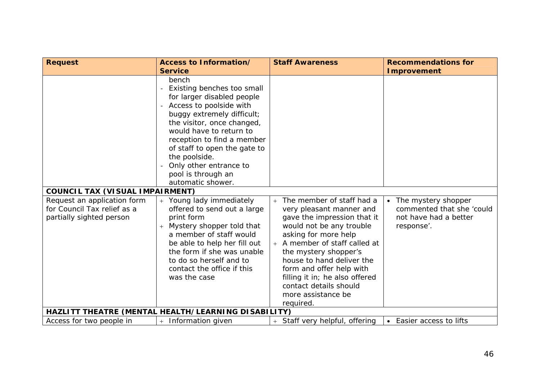| <b>Request</b>                                                                         | Access to Information/                                                                                                                                                                                                                                                                                                                  | <b>Staff Awareness</b>                                                                                                                                                                                                                                                                                                                                            | <b>Recommendations for</b>                                                                |
|----------------------------------------------------------------------------------------|-----------------------------------------------------------------------------------------------------------------------------------------------------------------------------------------------------------------------------------------------------------------------------------------------------------------------------------------|-------------------------------------------------------------------------------------------------------------------------------------------------------------------------------------------------------------------------------------------------------------------------------------------------------------------------------------------------------------------|-------------------------------------------------------------------------------------------|
|                                                                                        | <b>Service</b>                                                                                                                                                                                                                                                                                                                          |                                                                                                                                                                                                                                                                                                                                                                   | <b>Improvement</b>                                                                        |
|                                                                                        | bench<br>Existing benches too small<br>for larger disabled people<br>Access to poolside with<br>buggy extremely difficult;<br>the visitor, once changed,<br>would have to return to<br>reception to find a member<br>of staff to open the gate to<br>the poolside.<br>Only other entrance to<br>pool is through an<br>automatic shower. |                                                                                                                                                                                                                                                                                                                                                                   |                                                                                           |
| <b>COUNCIL TAX (VISUAL IMPAIRMENT)</b>                                                 |                                                                                                                                                                                                                                                                                                                                         |                                                                                                                                                                                                                                                                                                                                                                   |                                                                                           |
| Request an application form<br>for Council Tax relief as a<br>partially sighted person | Young lady immediately<br>offered to send out a large<br>print form<br>Mystery shopper told that<br>$+$<br>a member of staff would<br>be able to help her fill out<br>the form if she was unable<br>to do so herself and to<br>contact the office if this<br>was the case                                                               | The member of staff had a<br>$+$<br>very pleasant manner and<br>gave the impression that it<br>would not be any trouble<br>asking for more help<br>+ A member of staff called at<br>the mystery shopper's<br>house to hand deliver the<br>form and offer help with<br>filling it in; he also offered<br>contact details should<br>more assistance be<br>required. | • The mystery shopper<br>commented that she 'could<br>not have had a better<br>response'. |
|                                                                                        | HAZLITT THEATRE (MENTAL HEALTH/LEARNING DISABILITY)                                                                                                                                                                                                                                                                                     |                                                                                                                                                                                                                                                                                                                                                                   |                                                                                           |
| Access for two people in                                                               | Information given<br>$+$                                                                                                                                                                                                                                                                                                                | + Staff very helpful, offering                                                                                                                                                                                                                                                                                                                                    | • Easier access to lifts                                                                  |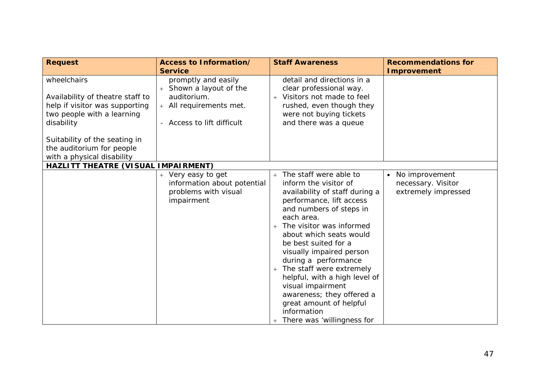| <b>Request</b>                                                                                                                | <b>Access to Information/</b><br><b>Service</b>                                                                      | <b>Staff Awareness</b>                                                                                                                                                                                                                                                                                                                                                                                                                                                                           | <b>Recommendations for</b><br><b>Improvement</b>              |
|-------------------------------------------------------------------------------------------------------------------------------|----------------------------------------------------------------------------------------------------------------------|--------------------------------------------------------------------------------------------------------------------------------------------------------------------------------------------------------------------------------------------------------------------------------------------------------------------------------------------------------------------------------------------------------------------------------------------------------------------------------------------------|---------------------------------------------------------------|
| wheelchairs<br>Availability of theatre staff to<br>help if visitor was supporting<br>two people with a learning<br>disability | promptly and easily<br>Shown a layout of the<br>auditorium.<br>+ All requirements met.<br>- Access to lift difficult | detail and directions in a<br>clear professional way.<br>Visitors not made to feel<br>$+$<br>rushed, even though they<br>were not buying tickets<br>and there was a queue                                                                                                                                                                                                                                                                                                                        |                                                               |
| Suitability of the seating in<br>the auditorium for people<br>with a physical disability                                      |                                                                                                                      |                                                                                                                                                                                                                                                                                                                                                                                                                                                                                                  |                                                               |
| HAZLITT THEATRE (VISUAL IMPAIRMENT)                                                                                           |                                                                                                                      |                                                                                                                                                                                                                                                                                                                                                                                                                                                                                                  |                                                               |
|                                                                                                                               | + Very easy to get<br>information about potential<br>problems with visual<br>impairment                              | + The staff were able to<br>inform the visitor of<br>availability of staff during a<br>performance, lift access<br>and numbers of steps in<br>each area.<br>The visitor was informed<br>$+$<br>about which seats would<br>be best suited for a<br>visually impaired person<br>during a performance<br>The staff were extremely<br>$+$<br>helpful, with a high level of<br>visual impairment<br>awareness; they offered a<br>great amount of helpful<br>information<br>There was 'willingness for | • No improvement<br>necessary. Visitor<br>extremely impressed |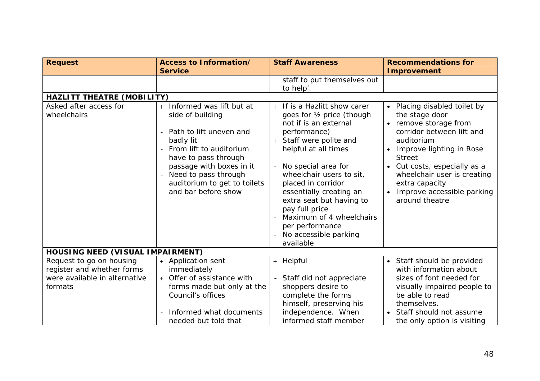| <b>Request</b>                                                                                     | Access to Information/                                                                                                                                                                                                 | <b>Staff Awareness</b>                                                                                                                                                                                                                                                                                                                                      | <b>Recommendations for</b>                                                                                                                                                                                                                                       |
|----------------------------------------------------------------------------------------------------|------------------------------------------------------------------------------------------------------------------------------------------------------------------------------------------------------------------------|-------------------------------------------------------------------------------------------------------------------------------------------------------------------------------------------------------------------------------------------------------------------------------------------------------------------------------------------------------------|------------------------------------------------------------------------------------------------------------------------------------------------------------------------------------------------------------------------------------------------------------------|
|                                                                                                    | <b>Service</b>                                                                                                                                                                                                         |                                                                                                                                                                                                                                                                                                                                                             | <b>Improvement</b>                                                                                                                                                                                                                                               |
| <b>HAZLITT THEATRE (MOBILITY)</b><br>Asked after access for                                        | Informed was lift but at                                                                                                                                                                                               | staff to put themselves out<br>to help'.<br>If is a Hazlitt show carer<br>$+$                                                                                                                                                                                                                                                                               | • Placing disabled toilet by                                                                                                                                                                                                                                     |
| wheelchairs                                                                                        | side of building<br>Path to lift uneven and<br>badly lit<br>From lift to auditorium<br>have to pass through<br>passage with boxes in it<br>Need to pass through<br>auditorium to get to toilets<br>and bar before show | goes for 1/2 price (though<br>not if is an external<br>performance)<br>Staff were polite and<br>helpful at all times<br>No special area for<br>wheelchair users to sit,<br>placed in corridor<br>essentially creating an<br>extra seat but having to<br>pay full price<br>Maximum of 4 wheelchairs<br>per performance<br>No accessible parking<br>available | the stage door<br>• remove storage from<br>corridor between lift and<br>auditorium<br>Improve lighting in Rose<br><b>Street</b><br>• Cut costs, especially as a<br>wheelchair user is creating<br>extra capacity<br>Improve accessible parking<br>around theatre |
| <b>HOUSING NEED (VISUAL IMPAIRMENT)</b>                                                            |                                                                                                                                                                                                                        |                                                                                                                                                                                                                                                                                                                                                             |                                                                                                                                                                                                                                                                  |
| Request to go on housing<br>register and whether forms<br>were available in alternative<br>formats | <b>Application sent</b><br>immediately<br>Offer of assistance with<br>$^{+}$<br>forms made but only at the<br>Council's offices<br>Informed what documents                                                             | + Helpful<br>Staff did not appreciate<br>shoppers desire to<br>complete the forms<br>himself, preserving his<br>independence. When                                                                                                                                                                                                                          | • Staff should be provided<br>with information about<br>sizes of font needed for<br>visually impaired people to<br>be able to read<br>themselves.<br>• Staff should not assume                                                                                   |
|                                                                                                    | needed but told that                                                                                                                                                                                                   | informed staff member                                                                                                                                                                                                                                                                                                                                       | the only option is visiting                                                                                                                                                                                                                                      |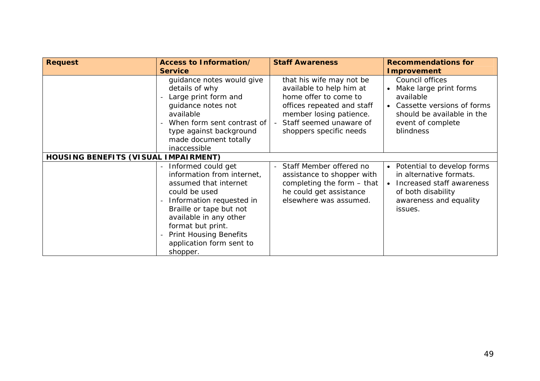| <b>Request</b><br>Access to Information/<br><b>Service</b> |                                                                                                                                                                                                                                                                           | <b>Staff Awareness</b>                                                                                                                                                                              | <b>Recommendations for</b><br><b>Improvement</b>                                                                                                       |  |
|------------------------------------------------------------|---------------------------------------------------------------------------------------------------------------------------------------------------------------------------------------------------------------------------------------------------------------------------|-----------------------------------------------------------------------------------------------------------------------------------------------------------------------------------------------------|--------------------------------------------------------------------------------------------------------------------------------------------------------|--|
|                                                            | guidance notes would give<br>details of why<br>Large print form and<br>guidance notes not<br>available<br>When form sent contrast of<br>type against background<br>made document totally<br>inaccessible                                                                  | that his wife may not be<br>available to help him at<br>home offer to come to<br>offices repeated and staff<br>member losing patience.<br>Staff seemed unaware of<br>$-$<br>shoppers specific needs | Council offices<br>Make large print forms<br>available<br>• Cassette versions of forms<br>should be available in the<br>event of complete<br>blindness |  |
| HOUSING BENEFITS (VISUAL IMPAIRMENT)                       |                                                                                                                                                                                                                                                                           |                                                                                                                                                                                                     |                                                                                                                                                        |  |
|                                                            | Informed could get<br>information from internet,<br>assumed that internet<br>could be used<br>Information requested in<br>Braille or tape but not<br>available in any other<br>format but print.<br><b>Print Housing Benefits</b><br>application form sent to<br>shopper. | Staff Member offered no<br>$-$<br>assistance to shopper with<br>completing the form $-$ that<br>he could get assistance<br>elsewhere was assumed.                                                   | • Potential to develop forms<br>in alternative formats.<br>Increased staff awareness<br>of both disability<br>awareness and equality<br>issues.        |  |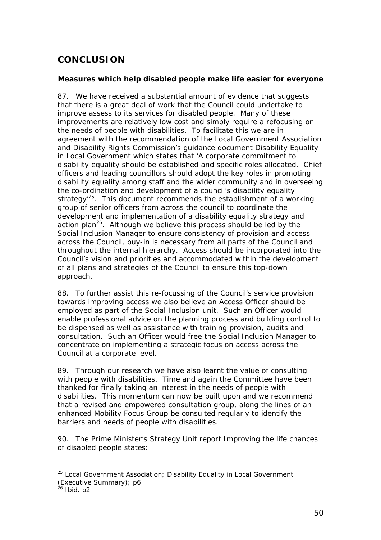# <span id="page-50-0"></span>**CONCLUSION**

### **Measures which help disabled people make life easier for everyone**

87. We have received a substantial amount of evidence that suggests that there is a great deal of work that the Council could undertake to improve assess to its services for disabled people. Many of these improvements are relatively low cost and simply require a refocusing on the needs of people with disabilities. To facilitate this we are in agreement with the recommendation of the Local Government Association and Disability Rights Commission's guidance document *Disability Equality in Local Government* which states that 'A corporate commitment to disability equality should be established and specific roles allocated. Chief officers and leading councillors should adopt the key roles in promoting disability equality among staff and the wider community and in overseeing the co-ordination and development of a council's disability equality strategy<sup>'25</sup>. This document recommends the establishment of a working group of senior officers from across the council to coordinate the development and implementation of a disability equality strategy and action plan<sup>26</sup>. Although we believe this process should be led by the Social Inclusion Manager to ensure consistency of provision and access across the Council, buy-in is necessary from all parts of the Council and throughout the internal hierarchy. Access should be incorporated into the Council's vision and priorities and accommodated within the development of all plans and strategies of the Council to ensure this top-down approach.

88. To further assist this re-focussing of the Council's service provision towards improving access we also believe an Access Officer should be employed as part of the Social Inclusion unit. Such an Officer would enable professional advice on the planning process and building control to be dispensed as well as assistance with training provision, audits and consultation. Such an Officer would free the Social Inclusion Manager to concentrate on implementing a strategic focus on access across the Council at a corporate level.

89. Through our research we have also learnt the value of consulting with people with disabilities. Time and again the Committee have been thanked for finally taking an interest in the needs of people with disabilities. This momentum can now be built upon and we recommend that a revised and empowered consultation group, along the lines of an enhanced Mobility Focus Group be consulted regularly to identify the barriers and needs of people with disabilities.

90. The Prime Minister's Strategy Unit report *Improving the life chances of disabled people* states:

<span id="page-50-1"></span> <sup>25</sup> Local Government Association; *Disability Equality in Local Government (Executive Summary)*; p6

<span id="page-50-2"></span> $26$  Ibid. p2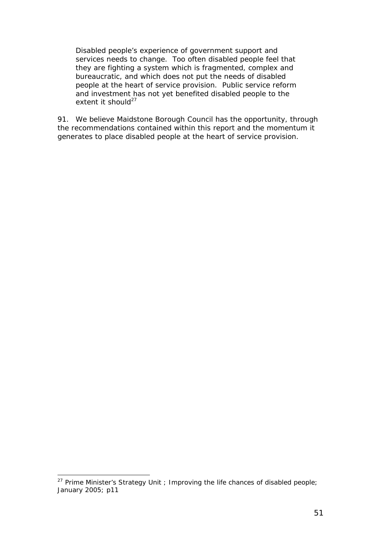*Disabled people's experience of government support and services needs to change. Too often disabled people feel that they are fighting a system which is fragmented, complex and bureaucratic, and which does not put the needs of disabled people at the heart of service provision. Public service reform and investment has not yet benefited disabled people to the extent it should[27](#page-51-0)*

91. We believe Maidstone Borough Council has the opportunity, through the recommendations contained within this report and the momentum it generates to place disabled people at the heart of service provision.

<span id="page-51-0"></span> <sup>27</sup> Prime Minister's Strategy Unit ; *Improving the life chances of disabled people*; January 2005; p11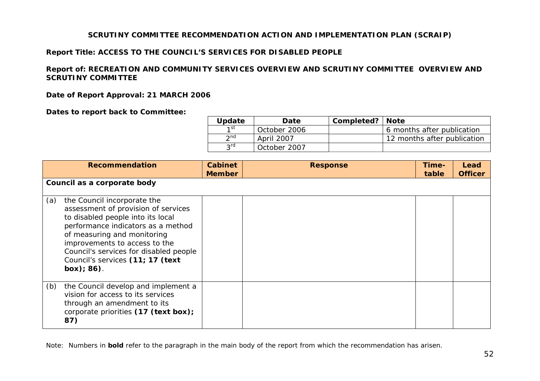#### **SCRUTINY COMMITTEE RECOMMENDATION ACTION AND IMPLEMENTATION PLAN (SCRAIP)**

#### **Report Title: ACCESS TO THE COUNCIL'S SERVICES FOR DISABLED PEOPLE**

#### **Report of: RECREATION AND COMMUNITY SERVICES OVERVIEW AND SCRUTINY COMMITTEE OVERVIEW AND SCRUTINY COMMITTEE**

**Date of Report Approval: 21 MARCH 2006** 

**Dates to report back to Committee:** 

| <b>Update</b>   | Date         | Completed?   Note |                             |
|-----------------|--------------|-------------------|-----------------------------|
| $1$ st          | October 2006 |                   | 6 months after publication  |
| 2 <sub>nd</sub> | April 2007   |                   | 12 months after publication |
| <b>2rd</b>      | October 2007 |                   |                             |

<span id="page-52-0"></span>

|     | <b>Recommendation</b>                                                                                                                                                                                                                                                                                     | <b>Cabinet</b><br><b>Member</b> | <b>Response</b> | Time-<br>table | Lead<br><b>Officer</b> |
|-----|-----------------------------------------------------------------------------------------------------------------------------------------------------------------------------------------------------------------------------------------------------------------------------------------------------------|---------------------------------|-----------------|----------------|------------------------|
|     | Council as a corporate body                                                                                                                                                                                                                                                                               |                                 |                 |                |                        |
| (a) | the Council incorporate the<br>assessment of provision of services<br>to disabled people into its local<br>performance indicators as a method<br>of measuring and monitoring<br>improvements to access to the<br>Council's services for disabled people<br>Council's services (11; 17 (text<br>box); 86). |                                 |                 |                |                        |
| (b) | the Council develop and implement a<br>vision for access to its services<br>through an amendment to its<br>corporate priorities (17 (text box);<br>87)                                                                                                                                                    |                                 |                 |                |                        |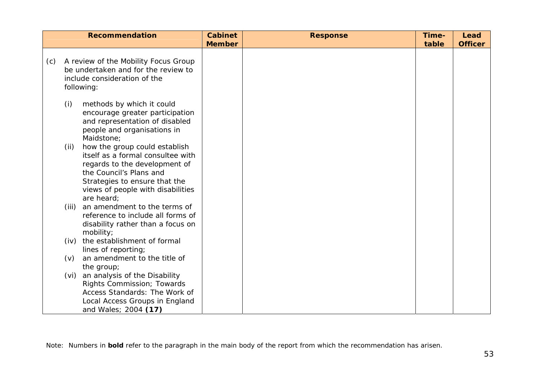|     | <b>Recommendation</b>                                                                                                                                                                                                      | <b>Cabinet</b> | <b>Response</b> | Time- | Lead           |
|-----|----------------------------------------------------------------------------------------------------------------------------------------------------------------------------------------------------------------------------|----------------|-----------------|-------|----------------|
|     |                                                                                                                                                                                                                            | <b>Member</b>  |                 | table | <b>Officer</b> |
| (c) | A review of the Mobility Focus Group<br>be undertaken and for the review to<br>include consideration of the<br>following:                                                                                                  |                |                 |       |                |
|     | (i)<br>methods by which it could<br>encourage greater participation<br>and representation of disabled<br>people and organisations in<br>Maidstone;                                                                         |                |                 |       |                |
|     | how the group could establish<br>(ii)<br>itself as a formal consultee with<br>regards to the development of<br>the Council's Plans and<br>Strategies to ensure that the<br>views of people with disabilities<br>are heard; |                |                 |       |                |
|     | an amendment to the terms of<br>(iii)<br>reference to include all forms of<br>disability rather than a focus on<br>mobility;                                                                                               |                |                 |       |                |
|     | the establishment of formal<br>(iv)<br>lines of reporting;                                                                                                                                                                 |                |                 |       |                |
|     | an amendment to the title of<br>(v)<br>the group;                                                                                                                                                                          |                |                 |       |                |
|     | an analysis of the Disability<br>(vi)<br>Rights Commission; Towards<br>Access Standards: The Work of<br>Local Access Groups in England<br>and Wales; 2004 (17)                                                             |                |                 |       |                |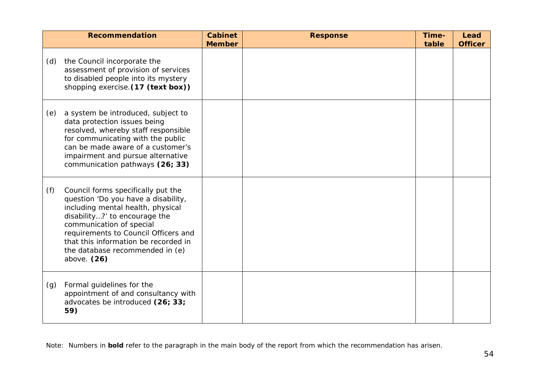|     | <b>Recommendation</b>                                                                                                                                                                                                                                                                                           | <b>Cabinet</b><br><b>Member</b> | <b>Response</b> | Time-<br>table | Lead<br><b>Officer</b> |
|-----|-----------------------------------------------------------------------------------------------------------------------------------------------------------------------------------------------------------------------------------------------------------------------------------------------------------------|---------------------------------|-----------------|----------------|------------------------|
| (d) | the Council incorporate the<br>assessment of provision of services<br>to disabled people into its mystery<br>shopping exercise. (17 (text box))                                                                                                                                                                 |                                 |                 |                |                        |
| (e) | a system be introduced, subject to<br>data protection issues being<br>resolved, whereby staff responsible<br>for communicating with the public<br>can be made aware of a customer's<br>impairment and pursue alternative<br>communication pathways (26; 33)                                                     |                                 |                 |                |                        |
| (f) | Council forms specifically put the<br>question 'Do you have a disability,<br>including mental health, physical<br>disability?' to encourage the<br>communication of special<br>requirements to Council Officers and<br>that this information be recorded in<br>the database recommended in (e)<br>above. $(26)$ |                                 |                 |                |                        |
| (g) | Formal guidelines for the<br>appointment of and consultancy with<br>advocates be introduced (26; 33;<br>59)                                                                                                                                                                                                     |                                 |                 |                |                        |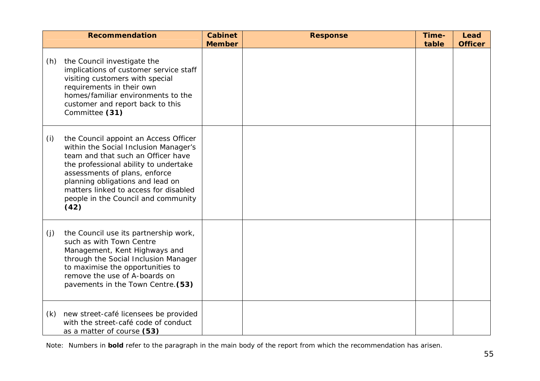|     | <b>Recommendation</b>                                                                                                                                                                                                                                                                                                      | <b>Cabinet</b><br><b>Member</b> | <b>Response</b> | Time-<br>table | Lead<br><b>Officer</b> |
|-----|----------------------------------------------------------------------------------------------------------------------------------------------------------------------------------------------------------------------------------------------------------------------------------------------------------------------------|---------------------------------|-----------------|----------------|------------------------|
| (h) | the Council investigate the<br>implications of customer service staff<br>visiting customers with special<br>requirements in their own<br>homes/familiar environments to the<br>customer and report back to this<br>Committee (31)                                                                                          |                                 |                 |                |                        |
| (i) | the Council appoint an Access Officer<br>within the Social Inclusion Manager's<br>team and that such an Officer have<br>the professional ability to undertake<br>assessments of plans, enforce<br>planning obligations and lead on<br>matters linked to access for disabled<br>people in the Council and community<br>(42) |                                 |                 |                |                        |
| (j) | the Council use its partnership work,<br>such as with Town Centre<br>Management, Kent Highways and<br>through the Social Inclusion Manager<br>to maximise the opportunities to<br>remove the use of A-boards on<br>pavements in the Town Centre. (53)                                                                      |                                 |                 |                |                        |
| (k) | new street-café licensees be provided<br>with the street-café code of conduct<br>as a matter of course (53)                                                                                                                                                                                                                |                                 |                 |                |                        |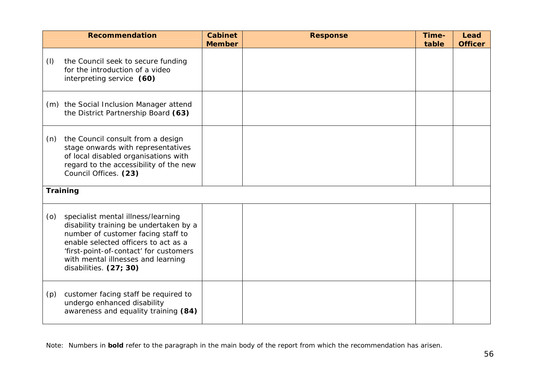|     | <b>Recommendation</b>                                                                                                                                                                                                                                                | <b>Cabinet</b><br><b>Member</b> | <b>Response</b> | Time-<br>table | Lead<br><b>Officer</b> |
|-----|----------------------------------------------------------------------------------------------------------------------------------------------------------------------------------------------------------------------------------------------------------------------|---------------------------------|-----------------|----------------|------------------------|
| (1) | the Council seek to secure funding<br>for the introduction of a video<br>interpreting service (60)                                                                                                                                                                   |                                 |                 |                |                        |
|     | (m) the Social Inclusion Manager attend<br>the District Partnership Board (63)                                                                                                                                                                                       |                                 |                 |                |                        |
| (n) | the Council consult from a design<br>stage onwards with representatives<br>of local disabled organisations with<br>regard to the accessibility of the new<br>Council Offices. (23)                                                                                   |                                 |                 |                |                        |
|     | Training                                                                                                                                                                                                                                                             |                                 |                 |                |                        |
| (0) | specialist mental illness/learning<br>disability training be undertaken by a<br>number of customer facing staff to<br>enable selected officers to act as a<br>'first-point-of-contact' for customers<br>with mental illnesses and learning<br>disabilities. (27; 30) |                                 |                 |                |                        |
| (p) | customer facing staff be required to<br>undergo enhanced disability<br>awareness and equality training (84)                                                                                                                                                          |                                 |                 |                |                        |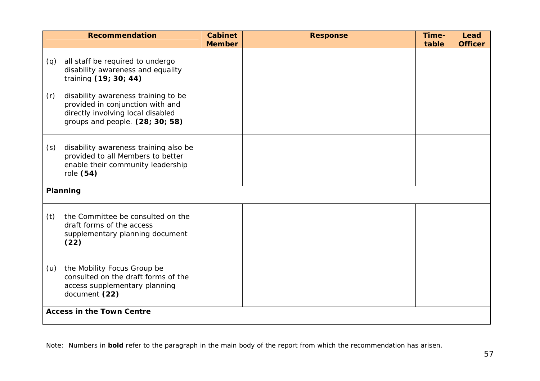|     | <b>Recommendation</b>                                                                                                                           | <b>Cabinet</b><br><b>Member</b> | <b>Response</b> | Time-<br>table | Lead<br><b>Officer</b> |
|-----|-------------------------------------------------------------------------------------------------------------------------------------------------|---------------------------------|-----------------|----------------|------------------------|
| (q) | all staff be required to undergo<br>disability awareness and equality<br>training (19; 30; 44)                                                  |                                 |                 |                |                        |
| (r) | disability awareness training to be<br>provided in conjunction with and<br>directly involving local disabled<br>groups and people. (28; 30; 58) |                                 |                 |                |                        |
| (s) | disability awareness training also be<br>provided to all Members to better<br>enable their community leadership<br>role (54)                    |                                 |                 |                |                        |
|     | Planning                                                                                                                                        |                                 |                 |                |                        |
| (t) | the Committee be consulted on the<br>draft forms of the access<br>supplementary planning document<br>(22)                                       |                                 |                 |                |                        |
| (u) | the Mobility Focus Group be<br>consulted on the draft forms of the<br>access supplementary planning<br>document (22)                            |                                 |                 |                |                        |
|     | <b>Access in the Town Centre</b>                                                                                                                |                                 |                 |                |                        |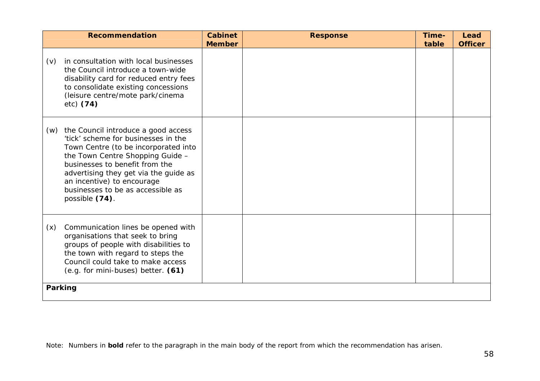|     | <b>Recommendation</b>                                                                                                                                                                                                                                                                                                  | <b>Cabinet</b><br><b>Member</b> | <b>Response</b> | Time-<br>table | Lead<br><b>Officer</b> |  |  |  |
|-----|------------------------------------------------------------------------------------------------------------------------------------------------------------------------------------------------------------------------------------------------------------------------------------------------------------------------|---------------------------------|-----------------|----------------|------------------------|--|--|--|
| (v) | in consultation with local businesses<br>the Council introduce a town-wide<br>disability card for reduced entry fees<br>to consolidate existing concessions<br>(leisure centre/mote park/cinema<br>$etc)$ (74)                                                                                                         |                                 |                 |                |                        |  |  |  |
| (w) | the Council introduce a good access<br>'tick' scheme for businesses in the<br>Town Centre (to be incorporated into<br>the Town Centre Shopping Guide -<br>businesses to benefit from the<br>advertising they get via the guide as<br>an incentive) to encourage<br>businesses to be as accessible as<br>possible (74). |                                 |                 |                |                        |  |  |  |
| (x) | Communication lines be opened with<br>organisations that seek to bring<br>groups of people with disabilities to<br>the town with regard to steps the<br>Council could take to make access<br>(e.g. for mini-buses) better. (61)                                                                                        |                                 |                 |                |                        |  |  |  |
|     | Parking                                                                                                                                                                                                                                                                                                                |                                 |                 |                |                        |  |  |  |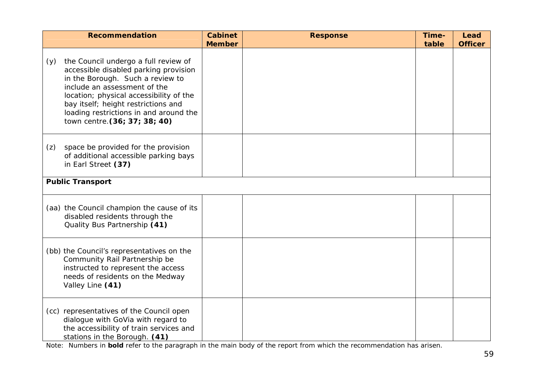|     | <b>Recommendation</b>                                                                                                                                                                                                                                                                                          | <b>Cabinet</b><br><b>Member</b> | <b>Response</b> | Time-<br>table | Lead<br><b>Officer</b> |
|-----|----------------------------------------------------------------------------------------------------------------------------------------------------------------------------------------------------------------------------------------------------------------------------------------------------------------|---------------------------------|-----------------|----------------|------------------------|
| (y) | the Council undergo a full review of<br>accessible disabled parking provision<br>in the Borough. Such a review to<br>include an assessment of the<br>location; physical accessibility of the<br>bay itself; height restrictions and<br>loading restrictions in and around the<br>town centre. (36; 37; 38; 40) |                                 |                 |                |                        |
| (z) | space be provided for the provision<br>of additional accessible parking bays<br>in Earl Street (37)                                                                                                                                                                                                            |                                 |                 |                |                        |
|     | <b>Public Transport</b>                                                                                                                                                                                                                                                                                        |                                 |                 |                |                        |
|     | (aa) the Council champion the cause of its<br>disabled residents through the<br>Quality Bus Partnership (41)                                                                                                                                                                                                   |                                 |                 |                |                        |
|     | (bb) the Council's representatives on the<br>Community Rail Partnership be<br>instructed to represent the access<br>needs of residents on the Medway<br>Valley Line (41)                                                                                                                                       |                                 |                 |                |                        |
|     | (cc) representatives of the Council open<br>dialogue with GoVia with regard to<br>the accessibility of train services and<br>stations in the Borough. (41)                                                                                                                                                     |                                 |                 |                |                        |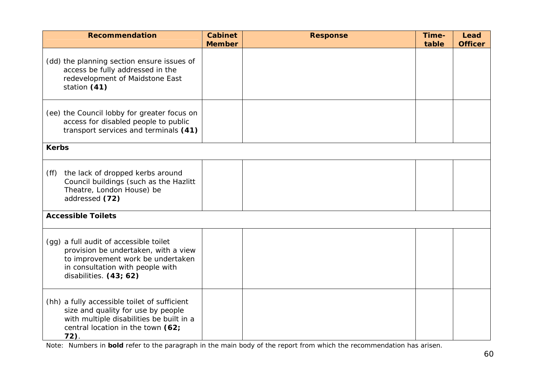| <b>Recommendation</b>                                                                                                                                                             | <b>Cabinet</b><br><b>Member</b> | <b>Response</b> | Time-<br>table | Lead<br><b>Officer</b> |
|-----------------------------------------------------------------------------------------------------------------------------------------------------------------------------------|---------------------------------|-----------------|----------------|------------------------|
| (dd) the planning section ensure issues of<br>access be fully addressed in the<br>redevelopment of Maidstone East<br>station (41)                                                 |                                 |                 |                |                        |
| (ee) the Council lobby for greater focus on<br>access for disabled people to public<br>transport services and terminals (41)                                                      |                                 |                 |                |                        |
| <b>Kerbs</b>                                                                                                                                                                      |                                 |                 |                |                        |
| the lack of dropped kerbs around<br>(ff)<br>Council buildings (such as the Hazlitt<br>Theatre, London House) be<br>addressed (72)                                                 |                                 |                 |                |                        |
| <b>Accessible Toilets</b>                                                                                                                                                         |                                 |                 |                |                        |
| (gg) a full audit of accessible toilet<br>provision be undertaken, with a view<br>to improvement work be undertaken<br>in consultation with people with<br>disabilities. (43; 62) |                                 |                 |                |                        |
| (hh) a fully accessible toilet of sufficient<br>size and quality for use by people<br>with multiple disabilities be built in a<br>central location in the town (62;<br>$72$ ).    |                                 |                 |                |                        |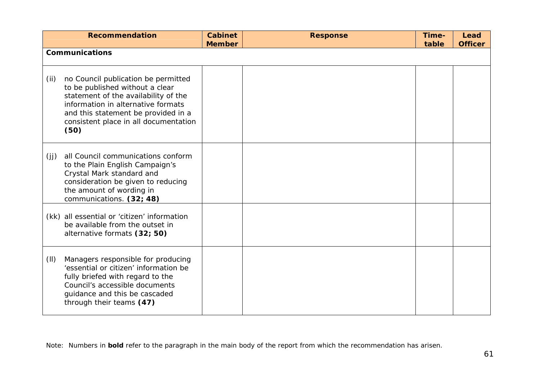|      | <b>Recommendation</b>                                                                                                                                                                                                                        | <b>Cabinet</b><br><b>Member</b> | <b>Response</b> | Time-<br>table | Lead<br><b>Officer</b> |
|------|----------------------------------------------------------------------------------------------------------------------------------------------------------------------------------------------------------------------------------------------|---------------------------------|-----------------|----------------|------------------------|
|      | <b>Communications</b>                                                                                                                                                                                                                        |                                 |                 |                |                        |
| (ii) | no Council publication be permitted<br>to be published without a clear<br>statement of the availability of the<br>information in alternative formats<br>and this statement be provided in a<br>consistent place in all documentation<br>(50) |                                 |                 |                |                        |
| (jj) | all Council communications conform<br>to the Plain English Campaign's<br>Crystal Mark standard and<br>consideration be given to reducing<br>the amount of wording in<br>communications. (32; 48)                                             |                                 |                 |                |                        |
|      | (kk) all essential or 'citizen' information<br>be available from the outset in<br>alternative formats (32; 50)                                                                                                                               |                                 |                 |                |                        |
| (II) | Managers responsible for producing<br>'essential or citizen' information be<br>fully briefed with regard to the<br>Council's accessible documents<br>guidance and this be cascaded<br>through their teams (47)                               |                                 |                 |                |                        |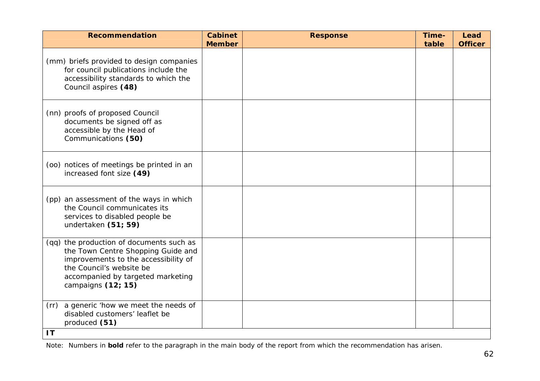| <b>Recommendation</b>                                                                                                                                                                                         | <b>Cabinet</b><br><b>Member</b> | <b>Response</b> | Time-<br>table | Lead<br><b>Officer</b> |
|---------------------------------------------------------------------------------------------------------------------------------------------------------------------------------------------------------------|---------------------------------|-----------------|----------------|------------------------|
| (mm) briefs provided to design companies<br>for council publications include the<br>accessibility standards to which the<br>Council aspires (48)                                                              |                                 |                 |                |                        |
| (nn) proofs of proposed Council<br>documents be signed off as<br>accessible by the Head of<br>Communications (50)                                                                                             |                                 |                 |                |                        |
| (oo) notices of meetings be printed in an<br>increased font size (49)                                                                                                                                         |                                 |                 |                |                        |
| (pp) an assessment of the ways in which<br>the Council communicates its<br>services to disabled people be<br>undertaken (51; 59)                                                                              |                                 |                 |                |                        |
| (qq) the production of documents such as<br>the Town Centre Shopping Guide and<br>improvements to the accessibility of<br>the Council's website be<br>accompanied by targeted marketing<br>campaigns (12; 15) |                                 |                 |                |                        |
| (rr) a generic 'how we meet the needs of<br>disabled customers' leaflet be<br>produced (51)<br>1T                                                                                                             |                                 |                 |                |                        |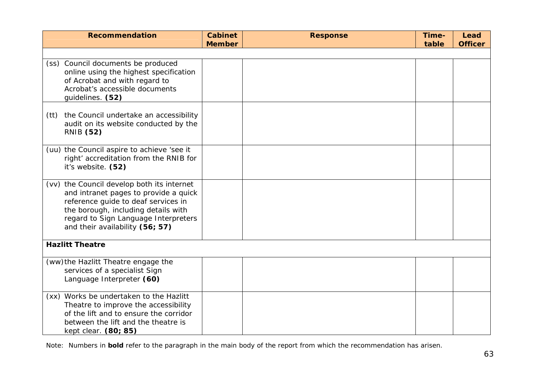| <b>Recommendation</b>                                                                                                                                                                                                                        | <b>Cabinet</b><br><b>Member</b> | <b>Response</b> | Time-<br>table | Lead<br><b>Officer</b> |
|----------------------------------------------------------------------------------------------------------------------------------------------------------------------------------------------------------------------------------------------|---------------------------------|-----------------|----------------|------------------------|
|                                                                                                                                                                                                                                              |                                 |                 |                |                        |
| (ss) Council documents be produced<br>online using the highest specification<br>of Acrobat and with regard to<br>Acrobat's accessible documents<br>guidelines. (52)                                                                          |                                 |                 |                |                        |
| the Council undertake an accessibility<br>(tt)<br>audit on its website conducted by the<br><b>RNIB (52)</b>                                                                                                                                  |                                 |                 |                |                        |
| (uu) the Council aspire to achieve 'see it<br>right' accreditation from the RNIB for<br>it's website. (52)                                                                                                                                   |                                 |                 |                |                        |
| (vv) the Council develop both its internet<br>and intranet pages to provide a quick<br>reference guide to deaf services in<br>the borough, including details with<br>regard to Sign Language Interpreters<br>and their availability (56; 57) |                                 |                 |                |                        |
| <b>Hazlitt Theatre</b>                                                                                                                                                                                                                       |                                 |                 |                |                        |
| (ww) the Hazlitt Theatre engage the<br>services of a specialist Sign<br>Language Interpreter (60)                                                                                                                                            |                                 |                 |                |                        |
| (xx) Works be undertaken to the Hazlitt<br>Theatre to improve the accessibility<br>of the lift and to ensure the corridor<br>between the lift and the theatre is<br>kept clear. (80; 85)                                                     |                                 |                 |                |                        |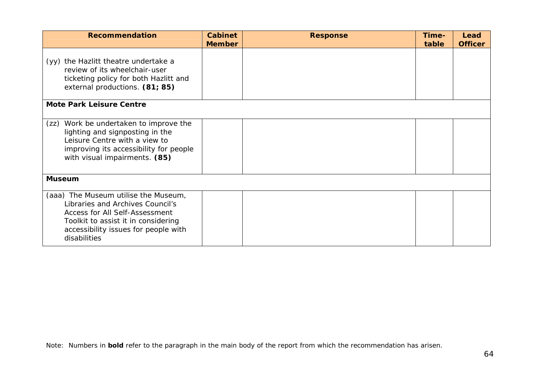| <b>Recommendation</b>                                                                                                                                                                                            | <b>Cabinet</b><br><b>Member</b> | <b>Response</b> | Time-<br>table | Lead<br><b>Officer</b> |
|------------------------------------------------------------------------------------------------------------------------------------------------------------------------------------------------------------------|---------------------------------|-----------------|----------------|------------------------|
| (yy) the Hazlitt theatre undertake a<br>review of its wheelchair-user<br>ticketing policy for both Hazlitt and<br>external productions. (81; 85)                                                                 |                                 |                 |                |                        |
| <b>Mote Park Leisure Centre</b>                                                                                                                                                                                  |                                 |                 |                |                        |
| Work be undertaken to improve the<br>(zz)<br>lighting and signposting in the<br>Leisure Centre with a view to<br>improving its accessibility for people<br>with visual impairments. (85)                         |                                 |                 |                |                        |
| <b>Museum</b>                                                                                                                                                                                                    |                                 |                 |                |                        |
| (aaa) The Museum utilise the Museum,<br>Libraries and Archives Council's<br><b>Access for All Self-Assessment</b><br>Toolkit to assist it in considering<br>accessibility issues for people with<br>disabilities |                                 |                 |                |                        |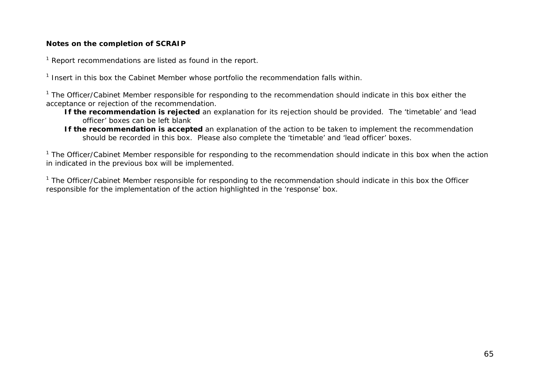#### **Notes on the completion of SCRAIP**

 $1$  Report recommendations are listed as found in the report.

 $1$  Insert in this box the Cabinet Member whose portfolio the recommendation falls within.

 $1$  The Officer/Cabinet Member responsible for responding to the recommendation should indicate in this box either the acceptance or rejection of the recommendation.

- **If the recommendation is rejected** an explanation for its rejection should be provided. The 'timetable' and 'lead officer' boxes can be left blank
- **If the recommendation is accepted** an explanation of the action to be taken to implement the recommendation should be recorded in this box. Please also complete the 'timetable' and 'lead officer' boxes.

 $1$  The Officer/Cabinet Member responsible for responding to the recommendation should indicate in this box when the action in indicated in the previous box will be implemented.

 $1$  The Officer/Cabinet Member responsible for responding to the recommendation should indicate in this box the Officer responsible for the implementation of the action highlighted in the 'response' box.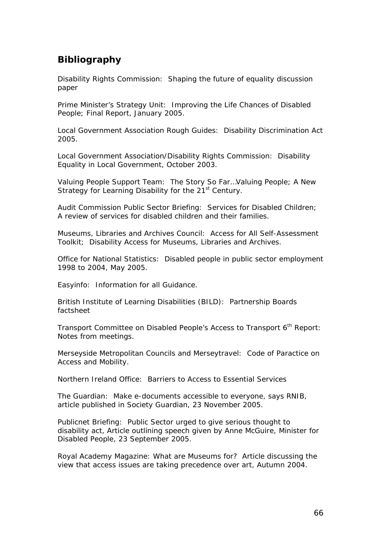## <span id="page-66-0"></span>**Bibliography**

Disability Rights Commission: *Shaping the future of equality discussion paper*

Prime Minister's Strategy Unit: *Improving the Life Chances of Disabled People; Final Report*, January 2005.

Local Government Association Rough Guides: *Disability Discrimination Act 2005*.

Local Government Association/Disability Rights Commission: *Disability Equality in Local Government*, October 2003.

Valuing People Support Team: *The Story So Far…Valuing People; A New Strategy for Learning Disability for the 21st Century*.

Audit Commission Public Sector Briefing: *Services for Disabled Children; A review of services for disabled children and their families*.

Museums, Libraries and Archives Council: *Access for All Self-Assessment Toolkit; Disability Access for Museums, Libraries and Archives*.

Office for National Statistics: *Disabled people in public sector employment 1998 to 2004*, May 2005.

Easyinfo: *Information for all Guidance*.

British Institute of Learning Disabilities (BILD): *Partnership Boards factsheet*

Transport Committee on Disabled People's Access to Transport 6<sup>th</sup> Report: Notes from meetings.

Merseyside Metropolitan Councils and Merseytravel: *Code of Paractice on Access and Mobility*.

Northern Ireland Office: *Barriers to Access to Essential Services*

The Guardian: *Make e-documents accessible to everyone, says RNIB*, article published in Society Guardian, 23 November 2005.

Publicnet Briefing: *Public Sector urged to give serious thought to disability act*, Article outlining speech given by Anne McGuire, Minister for Disabled People, 23 September 2005.

Royal Academy Magazine: *What are Museums for?* Article discussing the view that access issues are taking precedence over art, Autumn 2004.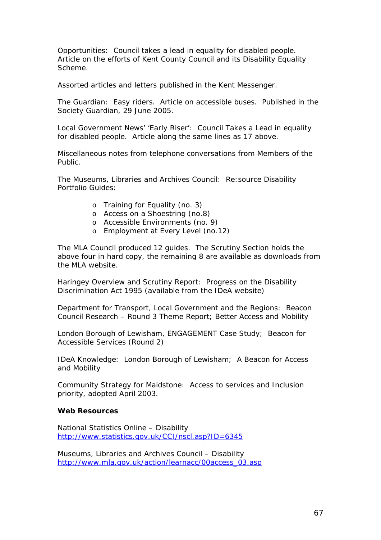Opportunities: *Council takes a lead in equality for disabled people*. Article on the efforts of Kent County Council and its Disability Equality Scheme.

Assorted articles and letters published in the Kent Messenger.

The Guardian: *Easy riders*. Article on accessible buses. Published in the Society Guardian, 29 June 2005.

Local Government News' 'Early Riser': *Council Takes a Lead in equality for disabled people.* Article along the same lines as 17 above.

Miscellaneous notes from telephone conversations from Members of the Public.

The Museums, Libraries and Archives Council: *Re:source Disability Portfolio Guides*:

- o Training for Equality (no. 3)
- o Access on a Shoestring (no.8)
- o Accessible Environments (no. 9)
- o Employment at Every Level (no.12)

The MLA Council produced 12 guides. The Scrutiny Section holds the above four in hard copy, the remaining 8 are available as downloads from the MLA website.

Haringey Overview and Scrutiny Report: *Progress on the Disability Discrimination Act 1995* (available from the IDeA website)

Department for Transport, Local Government and the Regions: *Beacon Council Research – Round 3 Theme Report; Better Access and Mobility*

London Borough of Lewisham, *ENGAGEMENT Case Study; Beacon for Accessible Services (Round 2)*

IDeA Knowledge: *London Borough of Lewisham; A Beacon for Access and Mobility* 

Community Strategy for Maidstone: *Access to services and Inclusion priority*, adopted April 2003.

#### **Web Resources**

National Statistics Online – Disability <http://www.statistics.gov.uk/CCI/nscl.asp?ID=6345>

Museums, Libraries and Archives Council – Disability [http://www.mla.gov.uk/action/learnacc/00access\\_03.asp](http://www.mla.gov.uk/action/learnacc/00access_03.asp)